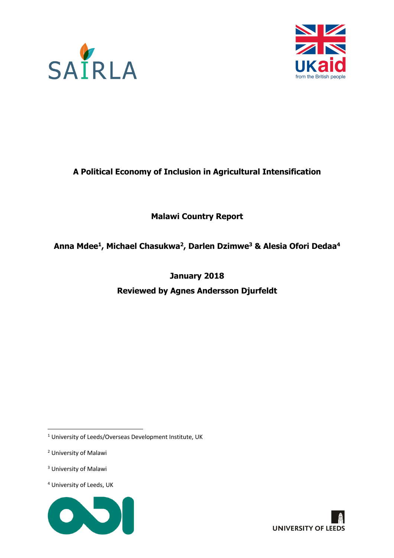



## **A Political Economy of Inclusion in Agricultural Intensification**

### **Malawi Country Report**

## **Anna Mdee1, Michael Chasukwa2, Darlen Dzimwe3 & Alesia Ofori Dedaa4**

**January 2018**

**Reviewed by Agnes Andersson Djurfeldt**

- <sup>3</sup> University of Malawi
- <sup>4</sup> University of Leeds, UK





 <sup>1</sup> University of Leeds/Overseas Development Institute, UK

<sup>2</sup> University of Malawi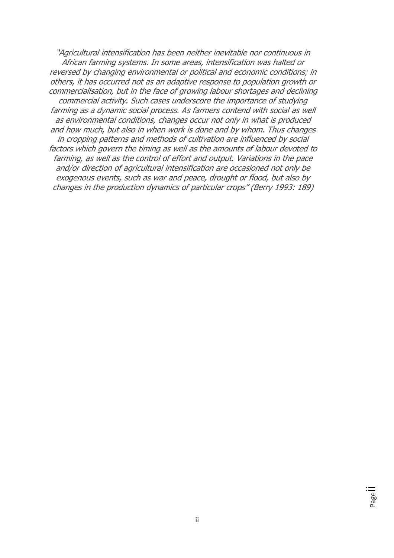"Agricultural intensification has been neither inevitable nor continuous in African farming systems. In some areas, intensification was halted or reversed by changing environmental or political and economic conditions; in others, it has occurred not as an adaptive response to population growth or commercialisation, but in the face of growing labour shortages and declining commercial activity. Such cases underscore the importance of studying farming as a dynamic social process. As farmers contend with social as well as environmental conditions, changes occur not only in what is produced and how much, but also in when work is done and by whom. Thus changes in cropping patterns and methods of cultivation are influenced by social factors which govern the timing as well as the amounts of labour devoted to farming, as well as the control of effort and output. Variations in the pace and/or direction of agricultural intensification are occasioned not only be exogenous events, such as war and peace, drought or flood, but also by changes in the production dynamics of particular crops" (Berry 1993: 189)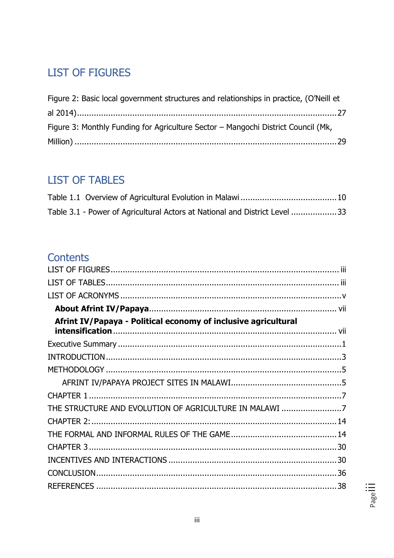# **LIST OF FIGURES**

| Figure 2: Basic local government structures and relationships in practice, (O'Neill et |  |
|----------------------------------------------------------------------------------------|--|
|                                                                                        |  |
| Figure 3: Monthly Funding for Agriculture Sector – Mangochi District Council (Mk,      |  |
|                                                                                        |  |

# **LIST OF TABLES**

| Table 3.1 - Power of Agricultural Actors at National and District Level 33 |  |
|----------------------------------------------------------------------------|--|

# Contents

| Afrint IV/Papaya - Political economy of inclusive agricultural |  |
|----------------------------------------------------------------|--|
|                                                                |  |
|                                                                |  |
|                                                                |  |
|                                                                |  |
|                                                                |  |
|                                                                |  |
|                                                                |  |
|                                                                |  |
|                                                                |  |
|                                                                |  |
|                                                                |  |
|                                                                |  |

Pagelii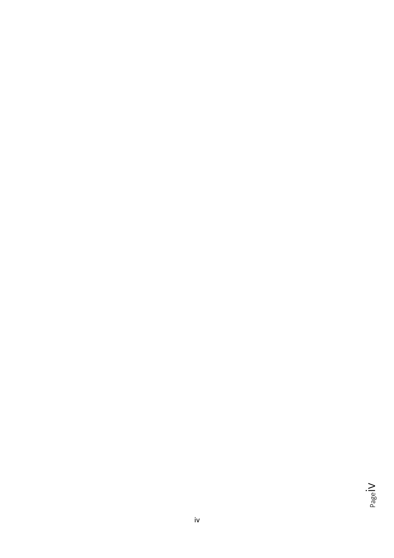Page<sup>I</sup>V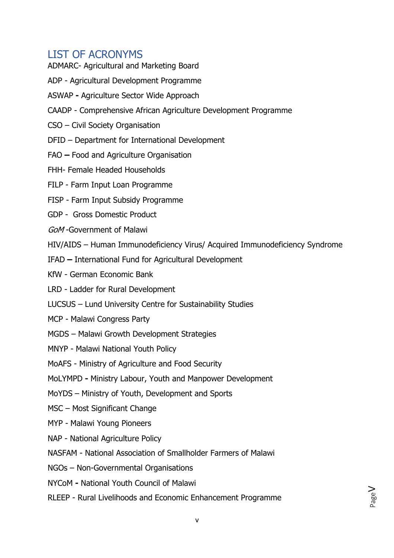## LIST OF ACRONYMS

ADMARC- Agricultural and Marketing Board

- ADP Agricultural Development Programme
- ASWAP **-** Agriculture Sector Wide Approach
- CAADP Comprehensive African Agriculture Development Programme
- CSO Civil Society Organisation
- DFID Department for International Development
- FAO **–** Food and Agriculture Organisation
- FHH- Female Headed Households
- FILP Farm Input Loan Programme
- FISP Farm Input Subsidy Programme
- GDP Gross Domestic Product
- GoM -Government of Malawi
- HIV/AIDS Human Immunodeficiency Virus/ Acquired Immunodeficiency Syndrome
- IFAD **–** International Fund for Agricultural Development
- KfW German Economic Bank
- LRD Ladder for Rural Development
- LUCSUS Lund University Centre for Sustainability Studies
- MCP Malawi Congress Party
- MGDS Malawi Growth Development Strategies
- MNYP Malawi National Youth Policy
- MoAFS Ministry of Agriculture and Food Security
- MoLYMPD **-** Ministry Labour, Youth and Manpower Development
- MoYDS Ministry of Youth, Development and Sports
- MSC Most Significant Change
- MYP Malawi Young Pioneers
- NAP National Agriculture Policy
- NASFAM National Association of Smallholder Farmers of Malawi
- NGOs Non-Governmental Organisations
- NYCoM **-** National Youth Council of Malawi
- RLEEP Rural Livelihoods and Economic Enhancement Programme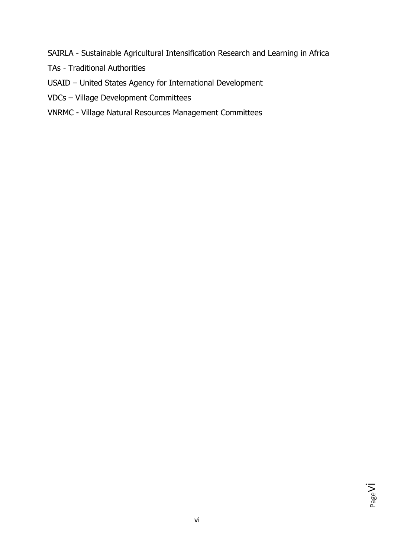- SAIRLA Sustainable Agricultural Intensification Research and Learning in Africa
- TAs Traditional Authorities
- USAID United States Agency for International Development
- VDCs Village Development Committees
- VNRMC Village Natural Resources Management Committees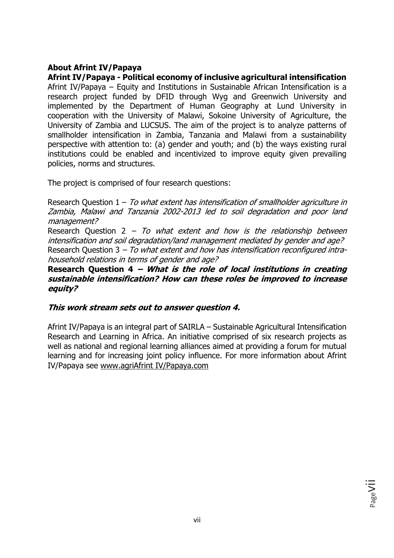### **About Afrint IV/Papaya**

#### **Afrint IV/Papaya - Political economy of inclusive agricultural intensification**

Afrint IV/Papaya – Equity and Institutions in Sustainable African Intensification is a research project funded by DFID through Wyg and Greenwich University and implemented by the Department of Human Geography at Lund University in cooperation with the University of Malawi, Sokoine University of Agriculture, the University of Zambia and LUCSUS. The aim of the project is to analyze patterns of smallholder intensification in Zambia, Tanzania and Malawi from a sustainability perspective with attention to: (a) gender and youth; and (b) the ways existing rural institutions could be enabled and incentivized to improve equity given prevailing policies, norms and structures.

The project is comprised of four research questions:

Research Question  $1 - To$  what extent has intensification of smallholder agriculture in Zambia, Malawi and Tanzania 2002-2013 led to soil degradation and poor land management?

Research Question 2 – To what extent and how is the relationship between intensification and soil degradation/land management mediated by gender and age? Research Question 3 – To what extent and how has intensification reconfigured intrahousehold relations in terms of gender and age?

#### **Research Question 4 – What is the role of local institutions in creating sustainable intensification? How can these roles be improved to increase equity?**

#### **This work stream sets out to answer question 4.**

Afrint IV/Papaya is an integral part of SAIRLA – Sustainable Agricultural Intensification Research and Learning in Africa. An initiative comprised of six research projects as well as national and regional learning alliances aimed at providing a forum for mutual learning and for increasing joint policy influence. For more information about Afrint IV/Papaya see www.agriAfrint IV/Papaya.com

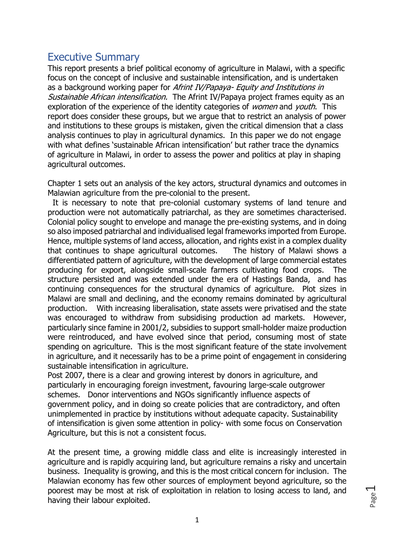## Executive Summary

This report presents a brief political economy of agriculture in Malawi, with a specific focus on the concept of inclusive and sustainable intensification, and is undertaken as a background working paper for Afrint IV/Papaya- Equity and Institutions in Sustainable African intensification. The Afrint IV/Papaya project frames equity as an exploration of the experience of the identity categories of *women* and *youth*. This report does consider these groups, but we argue that to restrict an analysis of power and institutions to these groups is mistaken, given the critical dimension that a class analysis continues to play in agricultural dynamics. In this paper we do not engage with what defines 'sustainable African intensification' but rather trace the dynamics of agriculture in Malawi, in order to assess the power and politics at play in shaping agricultural outcomes.

Chapter 1 sets out an analysis of the key actors, structural dynamics and outcomes in Malawian agriculture from the pre-colonial to the present.

 It is necessary to note that pre-colonial customary systems of land tenure and production were not automatically patriarchal, as they are sometimes characterised. Colonial policy sought to envelope and manage the pre-existing systems, and in doing so also imposed patriarchal and individualised legal frameworks imported from Europe. Hence, multiple systems of land access, allocation, and rights exist in a complex duality that continues to shape agricultural outcomes. The history of Malawi shows a differentiated pattern of agriculture, with the development of large commercial estates producing for export, alongside small-scale farmers cultivating food crops. The structure persisted and was extended under the era of Hastings Banda, and has continuing consequences for the structural dynamics of agriculture. Plot sizes in Malawi are small and declining, and the economy remains dominated by agricultural production. With increasing liberalisation, state assets were privatised and the state was encouraged to withdraw from subsidising production ad markets. However, particularly since famine in 2001/2, subsidies to support small-holder maize production were reintroduced, and have evolved since that period, consuming most of state spending on agriculture. This is the most significant feature of the state involvement in agriculture, and it necessarily has to be a prime point of engagement in considering sustainable intensification in agriculture.

Post 2007, there is a clear and growing interest by donors in agriculture, and particularly in encouraging foreign investment, favouring large-scale outgrower schemes. Donor interventions and NGOs significantly influence aspects of government policy, and in doing so create policies that are contradictory, and often unimplemented in practice by institutions without adequate capacity. Sustainability of intensification is given some attention in policy- with some focus on Conservation Agriculture, but this is not a consistent focus.

At the present time, a growing middle class and elite is increasingly interested in agriculture and is rapidly acquiring land, but agriculture remains a risky and uncertain business. Inequality is growing, and this is the most critical concern for inclusion. The Malawian economy has few other sources of employment beyond agriculture, so the poorest may be most at risk of exploitation in relation to losing access to land, and having their labour exploited.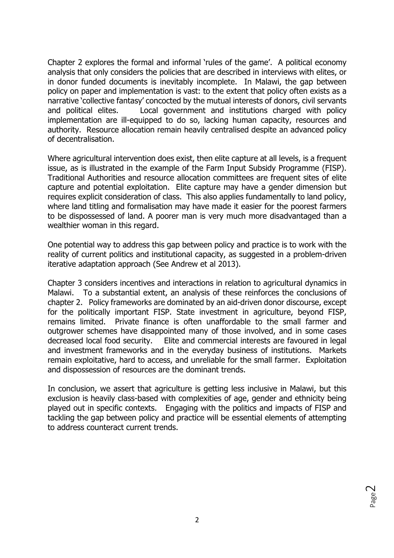Chapter 2 explores the formal and informal 'rules of the game'. A political economy analysis that only considers the policies that are described in interviews with elites, or in donor funded documents is inevitably incomplete. In Malawi, the gap between policy on paper and implementation is vast: to the extent that policy often exists as a narrative 'collective fantasy' concocted by the mutual interests of donors, civil servants and political elites. Local government and institutions charged with policy implementation are ill-equipped to do so, lacking human capacity, resources and authority. Resource allocation remain heavily centralised despite an advanced policy of decentralisation.

Where agricultural intervention does exist, then elite capture at all levels, is a frequent issue, as is illustrated in the example of the Farm Input Subsidy Programme (FISP). Traditional Authorities and resource allocation committees are frequent sites of elite capture and potential exploitation. Elite capture may have a gender dimension but requires explicit consideration of class. This also applies fundamentally to land policy, where land titling and formalisation may have made it easier for the poorest farmers to be dispossessed of land. A poorer man is very much more disadvantaged than a wealthier woman in this regard.

One potential way to address this gap between policy and practice is to work with the reality of current politics and institutional capacity, as suggested in a problem-driven iterative adaptation approach (See Andrew et al 2013).

Chapter 3 considers incentives and interactions in relation to agricultural dynamics in Malawi. To a substantial extent, an analysis of these reinforces the conclusions of chapter 2. Policy frameworks are dominated by an aid-driven donor discourse, except for the politically important FISP. State investment in agriculture, beyond FISP, remains limited. Private finance is often unaffordable to the small farmer and outgrower schemes have disappointed many of those involved, and in some cases decreased local food security. Elite and commercial interests are favoured in legal and investment frameworks and in the everyday business of institutions. Markets remain exploitative, hard to access, and unreliable for the small farmer. Exploitation and dispossession of resources are the dominant trends.

In conclusion, we assert that agriculture is getting less inclusive in Malawi, but this exclusion is heavily class-based with complexities of age, gender and ethnicity being played out in specific contexts. Engaging with the politics and impacts of FISP and tackling the gap between policy and practice will be essential elements of attempting to address counteract current trends.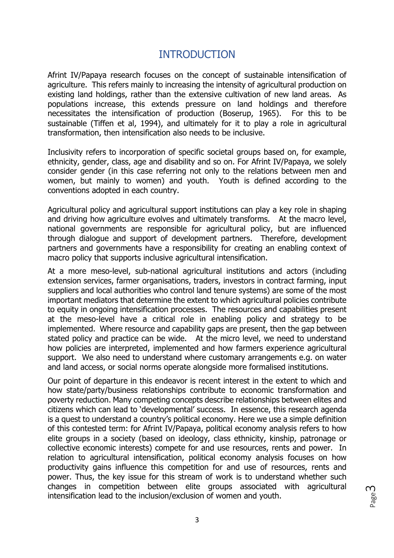## INTRODUCTION

Afrint IV/Papaya research focuses on the concept of sustainable intensification of agriculture. This refers mainly to increasing the intensity of agricultural production on existing land holdings, rather than the extensive cultivation of new land areas. As populations increase, this extends pressure on land holdings and therefore necessitates the intensification of production (Boserup, 1965). For this to be sustainable (Tiffen et al, 1994), and ultimately for it to play a role in agricultural transformation, then intensification also needs to be inclusive.

Inclusivity refers to incorporation of specific societal groups based on, for example, ethnicity, gender, class, age and disability and so on. For Afrint IV/Papaya, we solely consider gender (in this case referring not only to the relations between men and women, but mainly to women) and youth. Youth is defined according to the conventions adopted in each country.

Agricultural policy and agricultural support institutions can play a key role in shaping and driving how agriculture evolves and ultimately transforms. At the macro level, national governments are responsible for agricultural policy, but are influenced through dialogue and support of development partners. Therefore, development partners and governments have a responsibility for creating an enabling context of macro policy that supports inclusive agricultural intensification.

At a more meso-level, sub-national agricultural institutions and actors (including extension services, farmer organisations, traders, investors in contract farming, input suppliers and local authorities who control land tenure systems) are some of the most important mediators that determine the extent to which agricultural policies contribute to equity in ongoing intensification processes. The resources and capabilities present at the meso-level have a critical role in enabling policy and strategy to be implemented. Where resource and capability gaps are present, then the gap between stated policy and practice can be wide. At the micro level, we need to understand how policies are interpreted, implemented and how farmers experience agricultural support. We also need to understand where customary arrangements e.g. on water and land access, or social norms operate alongside more formalised institutions.

Our point of departure in this endeavor is recent interest in the extent to which and how state/party/business relationships contribute to economic transformation and poverty reduction. Many competing concepts describe relationships between elites and citizens which can lead to 'developmental' success. In essence, this research agenda is a quest to understand a country's political economy. Here we use a simple definition of this contested term: for Afrint IV/Papaya, political economy analysis refers to how elite groups in a society (based on ideology, class ethnicity, kinship, patronage or collective economic interests) compete for and use resources, rents and power. In relation to agricultural intensification, political economy analysis focuses on how productivity gains influence this competition for and use of resources, rents and power. Thus, the key issue for this stream of work is to understand whether such changes in competition between elite groups associated with agricultural intensification lead to the inclusion/exclusion of women and youth.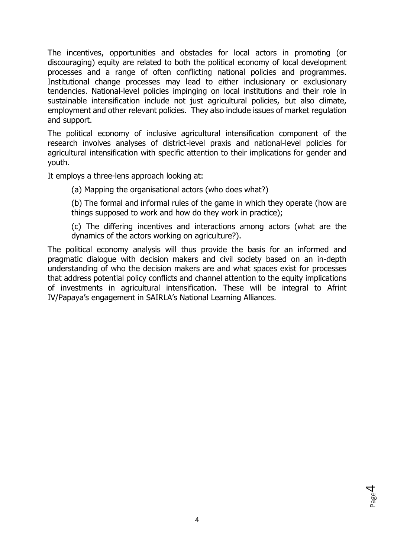The incentives, opportunities and obstacles for local actors in promoting (or discouraging) equity are related to both the political economy of local development processes and a range of often conflicting national policies and programmes. Institutional change processes may lead to either inclusionary or exclusionary tendencies. National-level policies impinging on local institutions and their role in sustainable intensification include not just agricultural policies, but also climate, employment and other relevant policies. They also include issues of market regulation and support.

The political economy of inclusive agricultural intensification component of the research involves analyses of district-level praxis and national-level policies for agricultural intensification with specific attention to their implications for gender and youth.

It employs a three-lens approach looking at:

(a) Mapping the organisational actors (who does what?)

(b) The formal and informal rules of the game in which they operate (how are things supposed to work and how do they work in practice);

(c) The differing incentives and interactions among actors (what are the dynamics of the actors working on agriculture?).

The political economy analysis will thus provide the basis for an informed and pragmatic dialogue with decision makers and civil society based on an in-depth understanding of who the decision makers are and what spaces exist for processes that address potential policy conflicts and channel attention to the equity implications of investments in agricultural intensification. These will be integral to Afrint IV/Papaya's engagement in SAIRLA's National Learning Alliances.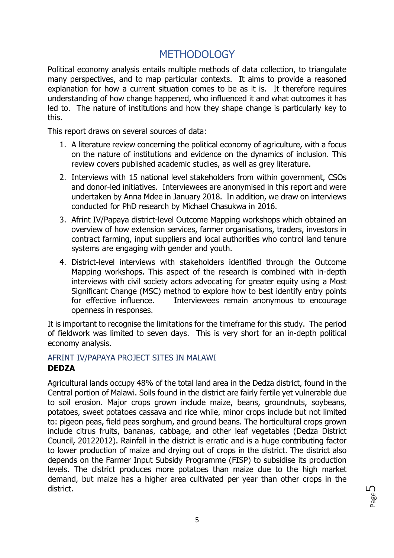# **METHODOLOGY**

Political economy analysis entails multiple methods of data collection, to triangulate many perspectives, and to map particular contexts. It aims to provide a reasoned explanation for how a current situation comes to be as it is. It therefore requires understanding of how change happened, who influenced it and what outcomes it has led to. The nature of institutions and how they shape change is particularly key to this.

This report draws on several sources of data:

- 1. A literature review concerning the political economy of agriculture, with a focus on the nature of institutions and evidence on the dynamics of inclusion. This review covers published academic studies, as well as grey literature.
- 2. Interviews with 15 national level stakeholders from within government, CSOs and donor-led initiatives. Interviewees are anonymised in this report and were undertaken by Anna Mdee in January 2018. In addition, we draw on interviews conducted for PhD research by Michael Chasukwa in 2016.
- 3. Afrint IV/Papaya district-level Outcome Mapping workshops which obtained an overview of how extension services, farmer organisations, traders, investors in contract farming, input suppliers and local authorities who control land tenure systems are engaging with gender and youth.
- 4. District-level interviews with stakeholders identified through the Outcome Mapping workshops. This aspect of the research is combined with in-depth interviews with civil society actors advocating for greater equity using a Most Significant Change (MSC) method to explore how to best identify entry points for effective influence. Interviewees remain anonymous to encourage openness in responses.

It is important to recognise the limitations for the timeframe for this study. The period of fieldwork was limited to seven days. This is very short for an in-depth political economy analysis.

#### AFRINT IV/PAPAYA PROJECT SITES IN MALAWI

#### **DEDZA**

Agricultural lands occupy 48% of the total land area in the Dedza district, found in the Central portion of Malawi. Soils found in the district are fairly fertile yet vulnerable due to soil erosion. Major crops grown include maize, beans, groundnuts, soybeans, potatoes, sweet potatoes cassava and rice while, minor crops include but not limited to: pigeon peas, field peas sorghum, and ground beans. The horticultural crops grown include citrus fruits, bananas, cabbage, and other leaf vegetables (Dedza District Council, 20122012). Rainfall in the district is erratic and is a huge contributing factor to lower production of maize and drying out of crops in the district. The district also depends on the Farmer Input Subsidy Programme (FISP) to subsidise its production levels. The district produces more potatoes than maize due to the high market demand, but maize has a higher area cultivated per year than other crops in the district.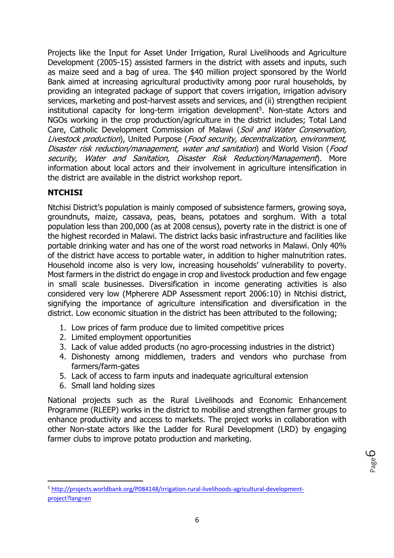Projects like the Input for Asset Under Irrigation, Rural Livelihoods and Agriculture Development (2005-15) assisted farmers in the district with assets and inputs, such as maize seed and a bag of urea. The \$40 million project sponsored by the World Bank aimed at increasing agricultural productivity among poor rural households, by providing an integrated package of support that covers irrigation, irrigation advisory services, marketing and post-harvest assets and services, and (ii) strengthen recipient institutional capacity for long-term irrigation development<sup>5</sup>. Non-state Actors and NGOs working in the crop production/agriculture in the district includes; Total Land Care, Catholic Development Commission of Malawi (Soil and Water Conservation, Livestock production), United Purpose (Food security, decentralization, environment, Disaster risk reduction/management, water and sanitation) and World Vision (Food security, Water and Sanitation, Disaster Risk Reduction/Management). More information about local actors and their involvement in agriculture intensification in the district are available in the district workshop report.

### **NTCHISI**

Ntchisi District's population is mainly composed of subsistence farmers, growing soya, groundnuts, maize, cassava, peas, beans, potatoes and sorghum. With a total population less than 200,000 (as at 2008 census), poverty rate in the district is one of the highest recorded in Malawi. The district lacks basic infrastructure and facilities like portable drinking water and has one of the worst road networks in Malawi. Only 40% of the district have access to portable water, in addition to higher malnutrition rates. Household income also is very low, increasing households' vulnerability to poverty. Most farmers in the district do engage in crop and livestock production and few engage in small scale businesses. Diversification in income generating activities is also considered very low (Mpherere ADP Assessment report 2006:10) in Ntchisi district, signifying the importance of agriculture intensification and diversification in the district. Low economic situation in the district has been attributed to the following;

- 1. Low prices of farm produce due to limited competitive prices
- 2. Limited employment opportunities
- 3. Lack of value added products (no agro-processing industries in the district)
- 4. Dishonesty among middlemen, traders and vendors who purchase from farmers/farm-gates
- 5. Lack of access to farm inputs and inadequate agricultural extension
- 6. Small land holding sizes

National projects such as the Rural Livelihoods and Economic Enhancement Programme (RLEEP) works in the district to mobilise and strengthen farmer groups to enhance productivity and access to markets. The project works in collaboration with other Non-state actors like the Ladder for Rural Development (LRD) by engaging farmer clubs to improve potato production and marketing.

Page  $\mathcal Q$ 

 <sup>5</sup> http://projects.worldbank.org/P084148/irrigation-rural-livelihoods-agricultural-developmentproject?lang=en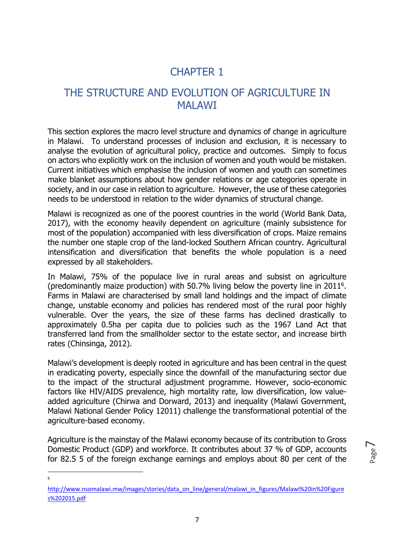# CHAPTER 1

## THE STRUCTURE AND EVOLUTION OF AGRICULTURE IN **MALAWI**

This section explores the macro level structure and dynamics of change in agriculture in Malawi. To understand processes of inclusion and exclusion, it is necessary to analyse the evolution of agricultural policy, practice and outcomes. Simply to focus on actors who explicitly work on the inclusion of women and youth would be mistaken. Current initiatives which emphasise the inclusion of women and youth can sometimes make blanket assumptions about how gender relations or age categories operate in society, and in our case in relation to agriculture. However, the use of these categories needs to be understood in relation to the wider dynamics of structural change.

Malawi is recognized as one of the poorest countries in the world (World Bank Data, 2017), with the economy heavily dependent on agriculture (mainly subsistence for most of the population) accompanied with less diversification of crops. Maize remains the number one staple crop of the land-locked Southern African country. Agricultural intensification and diversification that benefits the whole population is a need expressed by all stakeholders.

In Malawi, 75% of the populace live in rural areas and subsist on agriculture (predominantly maize production) with 50.7% living below the poverty line in 20116. Farms in Malawi are characterised by small land holdings and the impact of climate change, unstable economy and policies has rendered most of the rural poor highly vulnerable. Over the years, the size of these farms has declined drastically to approximately 0.5ha per capita due to policies such as the 1967 Land Act that transferred land from the smallholder sector to the estate sector, and increase birth rates (Chinsinga, 2012).

Malawi's development is deeply rooted in agriculture and has been central in the quest in eradicating poverty, especially since the downfall of the manufacturing sector due to the impact of the structural adjustment programme. However, socio-economic factors like HIV/AIDS prevalence, high mortality rate, low diversification, low valueadded agriculture (Chirwa and Dorward, 2013) and inequality (Malawi Government, Malawi National Gender Policy 12011) challenge the transformational potential of the agriculture-based economy.

Agriculture is the mainstay of the Malawi economy because of its contribution to Gross Domestic Product (GDP) and workforce. It contributes about 37 % of GDP, accounts for 82.5 5 of the foreign exchange earnings and employs about 80 per cent of the

-<br>6  $\epsilon$ 

Page  $\overline{\phantom{1}}$ 

http://www.nsomalawi.mw/images/stories/data\_on\_line/general/malawi\_in\_figures/Malawi%20in%20Figure s%202015.pdf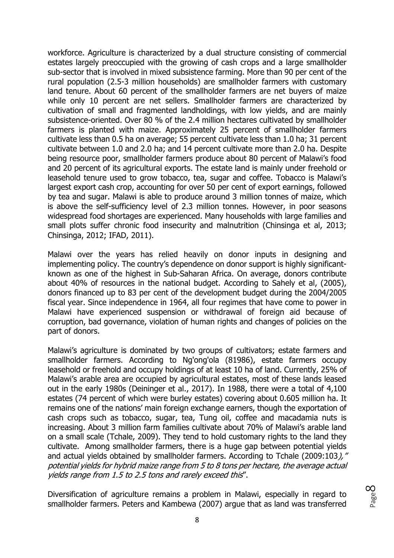workforce. Agriculture is characterized by a dual structure consisting of commercial estates largely preoccupied with the growing of cash crops and a large smallholder sub-sector that is involved in mixed subsistence farming. More than 90 per cent of the rural population (2.5-3 million households) are smallholder farmers with customary land tenure. About 60 percent of the smallholder farmers are net buyers of maize while only 10 percent are net sellers. Smallholder farmers are characterized by cultivation of small and fragmented landholdings, with low yields, and are mainly subsistence-oriented. Over 80 % of the 2.4 million hectares cultivated by smallholder farmers is planted with maize. Approximately 25 percent of smallholder farmers cultivate less than 0.5 ha on average; 55 percent cultivate less than 1.0 ha; 31 percent cultivate between 1.0 and 2.0 ha; and 14 percent cultivate more than 2.0 ha. Despite being resource poor, smallholder farmers produce about 80 percent of Malawi's food and 20 percent of its agricultural exports. The estate land is mainly under freehold or leasehold tenure used to grow tobacco, tea, sugar and coffee. Tobacco is Malawi's largest export cash crop, accounting for over 50 per cent of export earnings, followed by tea and sugar. Malawi is able to produce around 3 million tonnes of maize, which is above the self-sufficiency level of 2.3 million tonnes. However, in poor seasons widespread food shortages are experienced. Many households with large families and small plots suffer chronic food insecurity and malnutrition (Chinsinga et al, 2013; Chinsinga, 2012; IFAD, 2011).

Malawi over the years has relied heavily on donor inputs in designing and implementing policy. The country's dependence on donor support is highly significantknown as one of the highest in Sub-Saharan Africa. On average, donors contribute about 40% of resources in the national budget. According to Sahely et al, (2005), donors financed up to 83 per cent of the development budget during the 2004/2005 fiscal year. Since independence in 1964, all four regimes that have come to power in Malawi have experienced suspension or withdrawal of foreign aid because of corruption, bad governance, violation of human rights and changes of policies on the part of donors.

Malawi's agriculture is dominated by two groups of cultivators; estate farmers and smallholder farmers. According to Ng'ong'ola (81986), estate farmers occupy leasehold or freehold and occupy holdings of at least 10 ha of land. Currently, 25% of Malawi's arable area are occupied by agricultural estates, most of these lands leased out in the early 1980s (Deininger et al., 2017). In 1988, there were a total of 4,100 estates (74 percent of which were burley estates) covering about 0.605 million ha. It remains one of the nations' main foreign exchange earners, though the exportation of cash crops such as tobacco, sugar, tea, Tung oil, coffee and macadamia nuts is increasing. About 3 million farm families cultivate about 70% of Malawi's arable land on a small scale (Tchale, 2009). They tend to hold customary rights to the land they cultivate. Among smallholder farmers, there is a huge gap between potential yields and actual yields obtained by smallholder farmers. According to Tchale (2009:103)," potential yields for hybrid maize range from 5 to 8 tons per hectare, the average actual yields range from 1.5 to 2.5 tons and rarely exceed this".

Diversification of agriculture remains a problem in Malawi, especially in regard to smallholder farmers. Peters and Kambewa (2007) argue that as land was transferred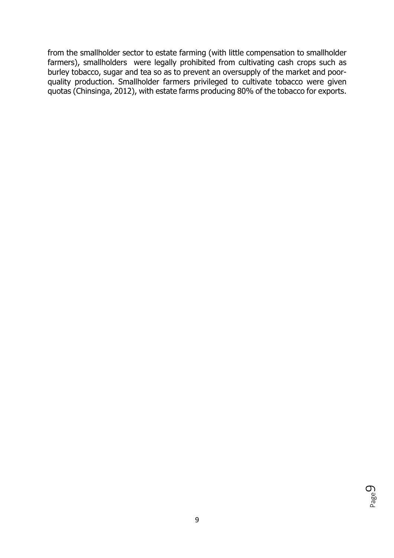from the smallholder sector to estate farming (with little compensation to smallholder farmers), smallholders were legally prohibited from cultivating cash crops such as burley tobacco, sugar and tea so as to prevent an oversupply of the market and poorquality production. Smallholder farmers privileged to cultivate tobacco were given quotas (Chinsinga, 2012), with estate farms producing 80% of the tobacco for exports.

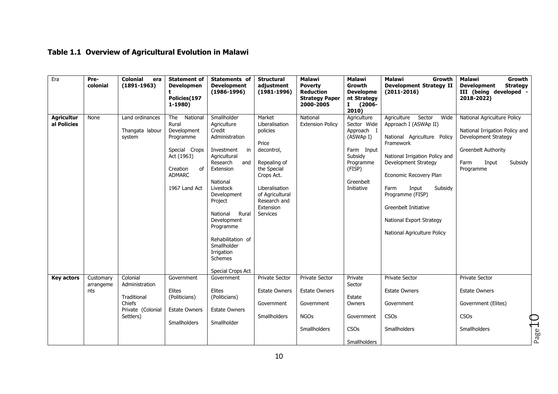### **Table 1.1 Overview of Agricultural Evolution in Malawi**

| Era                              | Pre-<br>colonial              | <b>Colonial</b><br>era<br>$(1891 - 1963)$                                       | <b>Statement of</b><br><b>Developmen</b><br>t<br>Policies(197<br>$1-1980$                                                               | <b>Statements of</b><br><b>Development</b><br>$(1986 - 1996)$                                                                                                                                                                                                                                                           | <b>Structural</b><br>adjustment<br>$(1981 - 1996)$                                                                                                                                            | <b>Malawi</b><br><b>Poverty</b><br><b>Reduction</b><br><b>Strategy Paper</b><br>2000-2005 | <b>Malawi</b><br>Growth<br><b>Developme</b><br>nt Strategy<br>(2006-<br>$\mathbf{I}$<br>2010)                                    | Malawi<br>Growth<br><b>Development Strategy II</b><br>$(2011 - 2016)$                                                                                                                                                                                                                                                     | Malawi<br>Growth<br><b>Development</b><br><b>Strategy</b><br>III (being developed -<br>2018-2022)                                                            |
|----------------------------------|-------------------------------|---------------------------------------------------------------------------------|-----------------------------------------------------------------------------------------------------------------------------------------|-------------------------------------------------------------------------------------------------------------------------------------------------------------------------------------------------------------------------------------------------------------------------------------------------------------------------|-----------------------------------------------------------------------------------------------------------------------------------------------------------------------------------------------|-------------------------------------------------------------------------------------------|----------------------------------------------------------------------------------------------------------------------------------|---------------------------------------------------------------------------------------------------------------------------------------------------------------------------------------------------------------------------------------------------------------------------------------------------------------------------|--------------------------------------------------------------------------------------------------------------------------------------------------------------|
| <b>Agricultur</b><br>al Policies | None                          | Land ordinances<br>Thangata labour<br>system                                    | National<br>The<br>Rural<br>Development<br>Programme<br>Special Crops<br>Act (1963)<br>Creation<br>0f<br><b>ADMARC</b><br>1967 Land Act | Smallholder<br>Agriculture<br>Credit<br>Administration<br>Investment<br>in<br>Agricultural<br>Research<br>and<br>Extension<br>National<br>Livestock<br>Development<br>Project<br>Rural<br>National<br>Development<br>Programme<br>Rehabilitation of<br>Smallholder<br>Irrigation<br><b>Schemes</b><br>Special Crops Act | Market<br>Liberalisation<br>policies<br>Price<br>decontrol,<br>Repealing of<br>the Special<br>Crops Act.<br>Liberalisation<br>of Agricultural<br>Research and<br>Extension<br><b>Services</b> | National<br><b>Extension Policy</b>                                                       | Agriculture<br>Sector Wide<br>Approach I<br>(ASWAp I)<br>Farm Input<br>Subsidy<br>Programme<br>(FISP)<br>Greenbelt<br>Initiative | Agriculture<br>Sector<br>Wide<br>Approach I (ASWAp II)<br>National Agriculture Policy<br>Framework<br>National Irrigation Policy and<br>Development Strategy<br>Economic Recovery Plan<br>Subsidy<br>Farm<br>Input<br>Programme (FISP)<br>Greenbelt Initiative<br>National Export Strategy<br>National Agriculture Policy | National Agriculture Policy<br>National Irrigation Policy and<br>Development Strategy<br><b>Greenbelt Authority</b><br>Subsidy<br>Farm<br>Input<br>Programme |
| <b>Key actors</b>                | Customary<br>arrangeme<br>nts | Colonial<br>Administration<br>Traditional<br><b>Chiefs</b><br>Private (Colonial | Government<br><b>Elites</b><br>(Politicians)<br><b>Estate Owners</b>                                                                    | Government<br><b>Elites</b><br>(Politicians)<br><b>Estate Owners</b>                                                                                                                                                                                                                                                    | Private Sector<br><b>Estate Owners</b><br>Government                                                                                                                                          | <b>Private Sector</b><br><b>Estate Owners</b><br>Government                               | Private<br>Sector<br>Estate<br>Owners                                                                                            | Private Sector<br><b>Estate Owners</b><br>Government                                                                                                                                                                                                                                                                      | <b>Private Sector</b><br><b>Estate Owners</b><br>Government (Elites)                                                                                         |
|                                  |                               | Settlers)                                                                       | Smallholders                                                                                                                            | Smallholder                                                                                                                                                                                                                                                                                                             | <b>Smallholders</b>                                                                                                                                                                           | <b>NGOs</b><br><b>Smallholders</b>                                                        | Government<br>CSOs<br>Smallholders                                                                                               | <b>CSO<sub>s</sub></b><br><b>Smallholders</b>                                                                                                                                                                                                                                                                             | <b>CSO<sub>s</sub></b><br>Smallholders                                                                                                                       |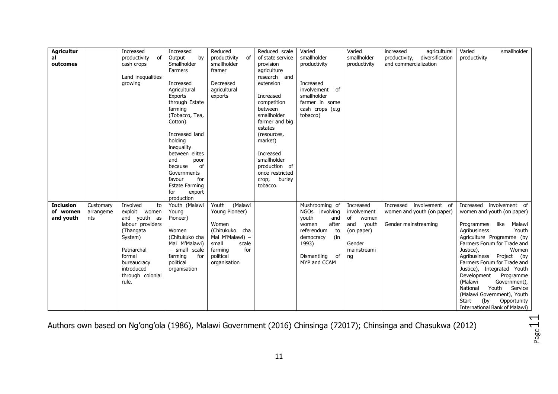| <b>Agricultur</b> |           | Increased          | Increased             | Reduced            | Reduced scale    | Varied           | Varied       | agricultural<br>increased        | Varied<br>smallholder         |
|-------------------|-----------|--------------------|-----------------------|--------------------|------------------|------------------|--------------|----------------------------------|-------------------------------|
| al                |           | productivity<br>of | Output<br>by          | productivity<br>of | of state service | smallholder      | smallholder  | diversification<br>productivity, | productivity                  |
| outcomes          |           | cash crops         | Smallholder           | smallholder        | provision        | productivity     | productivity | and commercialization            |                               |
|                   |           |                    |                       |                    |                  |                  |              |                                  |                               |
|                   |           |                    | Farmers               | framer             | agriculture      |                  |              |                                  |                               |
|                   |           | Land inequalities  |                       |                    | research and     |                  |              |                                  |                               |
|                   |           | growing            | Increased             | Decreased          | extension        | Increased        |              |                                  |                               |
|                   |           |                    | Agricultural          | agricultural       |                  | involvement of   |              |                                  |                               |
|                   |           |                    | Exports               | exports            | Increased        | smallholder      |              |                                  |                               |
|                   |           |                    | through Estate        |                    | competition      | farmer in some   |              |                                  |                               |
|                   |           |                    | farming               |                    | between          | cash crops (e.g  |              |                                  |                               |
|                   |           |                    | (Tobacco, Tea,        |                    | smallholder      | tobacco)         |              |                                  |                               |
|                   |           |                    | Cotton)               |                    | farmer and big   |                  |              |                                  |                               |
|                   |           |                    |                       |                    | estates          |                  |              |                                  |                               |
|                   |           |                    | Increased land        |                    | (resources,      |                  |              |                                  |                               |
|                   |           |                    | holding               |                    | market)          |                  |              |                                  |                               |
|                   |           |                    | inequality            |                    |                  |                  |              |                                  |                               |
|                   |           |                    | between elites        |                    | Increased        |                  |              |                                  |                               |
|                   |           |                    | and<br>poor           |                    | smallholder      |                  |              |                                  |                               |
|                   |           |                    | of<br>because         |                    | production of    |                  |              |                                  |                               |
|                   |           |                    | Governments           |                    | once restricted  |                  |              |                                  |                               |
|                   |           |                    | favour<br>for         |                    | crop; burley     |                  |              |                                  |                               |
|                   |           |                    | <b>Estate Farming</b> |                    | tobacco.         |                  |              |                                  |                               |
|                   |           |                    | for<br>export         |                    |                  |                  |              |                                  |                               |
|                   |           |                    | production            |                    |                  |                  |              |                                  |                               |
| <b>Inclusion</b>  | Customary | Involved<br>to     | Youth (Malawi         | (Malawi<br>Youth   |                  | Mushrooming of   | Increased    | Increased<br>involvement of      | Increased involvement of      |
| of women          | arrangeme | exploit women      | Young                 | Young Pioneer)     |                  | NGOs involving   | involvement  | women and youth (on paper)       | women and youth (on paper)    |
| and youth         | nts       | and youth as       | Pioneer)              |                    |                  | youth<br>and     | of<br>women  |                                  |                               |
|                   |           | labour providers   |                       | Women              |                  | after<br>women   | and<br>youth | Gender mainstreaming             | Malawi<br>Programmes<br>like  |
|                   |           | (Thangata          | Women                 | (Chitukuko cha     |                  | referendum<br>to | (on paper)   |                                  | Agribusiness<br>Youth         |
|                   |           | System)            | (Chitukuko cha        | Mai M'Malawi) -    |                  | (in<br>democracy |              |                                  | Agriculture Programme (by     |
|                   |           |                    | Mai M'Malawi)         | small<br>scale     |                  | 1993)            | Gender       |                                  | Farmers Forum for Trade and   |
|                   |           | Patriarchal        | - small scale         | for<br>farming     |                  |                  | mainstreami  |                                  | Women<br>Justice),            |
|                   |           | formal             | farming<br>for        | political          |                  | Dismantling of   | ng           |                                  | Agribusiness Project (by      |
|                   |           | bureaucracy        | political             | organisation       |                  | MYP and CCAM     |              |                                  | Farmers Forum for Trade and   |
|                   |           | introduced         | organisation          |                    |                  |                  |              |                                  | Justice), Integrated Youth    |
|                   |           | through colonial   |                       |                    |                  |                  |              |                                  | Development<br>Programme      |
|                   |           | rule.              |                       |                    |                  |                  |              |                                  | Government),<br>(Malawi       |
|                   |           |                    |                       |                    |                  |                  |              |                                  | National<br>Youth<br>Service  |
|                   |           |                    |                       |                    |                  |                  |              |                                  | (Malawi Government), Youth    |
|                   |           |                    |                       |                    |                  |                  |              |                                  | (by<br>Start<br>Opportunity   |
|                   |           |                    |                       |                    |                  |                  |              |                                  | International Bank of Malawi) |

Authors own based on Ng'ong'ola (1986), Malawi Government (2016) Chinsinga (72017); Chinsinga and Chasukwa (2012)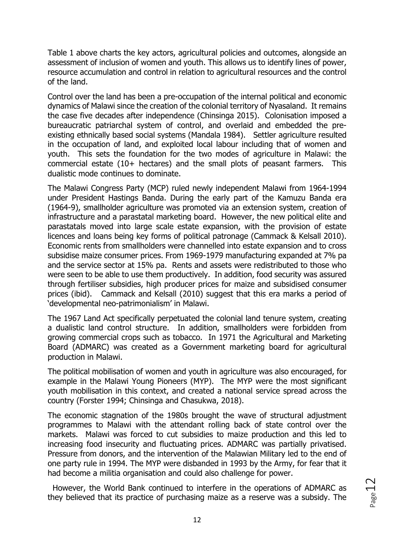Table 1 above charts the key actors, agricultural policies and outcomes, alongside an assessment of inclusion of women and youth. This allows us to identify lines of power, resource accumulation and control in relation to agricultural resources and the control of the land.

Control over the land has been a pre-occupation of the internal political and economic dynamics of Malawi since the creation of the colonial territory of Nyasaland. It remains the case five decades after independence (Chinsinga 2015). Colonisation imposed a bureaucratic patriarchal system of control, and overlaid and embedded the preexisting ethnically based social systems (Mandala 1984). Settler agriculture resulted in the occupation of land, and exploited local labour including that of women and youth. This sets the foundation for the two modes of agriculture in Malawi: the commercial estate (10+ hectares) and the small plots of peasant farmers. This dualistic mode continues to dominate.

The Malawi Congress Party (MCP) ruled newly independent Malawi from 1964-1994 under President Hastings Banda. During the early part of the Kamuzu Banda era (1964-9), smallholder agriculture was promoted via an extension system, creation of infrastructure and a parastatal marketing board. However, the new political elite and parastatals moved into large scale estate expansion, with the provision of estate licences and loans being key forms of political patronage (Cammack & Kelsall 2010). Economic rents from smallholders were channelled into estate expansion and to cross subsidise maize consumer prices. From 1969-1979 manufacturing expanded at 7% pa and the service sector at 15% pa. Rents and assets were redistributed to those who were seen to be able to use them productively. In addition, food security was assured through fertiliser subsidies, high producer prices for maize and subsidised consumer prices (ibid). Cammack and Kelsall (2010) suggest that this era marks a period of 'developmental neo-patrimonialism' in Malawi.

The 1967 Land Act specifically perpetuated the colonial land tenure system, creating a dualistic land control structure. In addition, smallholders were forbidden from growing commercial crops such as tobacco. In 1971 the Agricultural and Marketing Board (ADMARC) was created as a Government marketing board for agricultural production in Malawi.

The political mobilisation of women and youth in agriculture was also encouraged, for example in the Malawi Young Pioneers (MYP). The MYP were the most significant youth mobilisation in this context, and created a national service spread across the country (Forster 1994; Chinsinga and Chasukwa, 2018).

The economic stagnation of the 1980s brought the wave of structural adjustment programmes to Malawi with the attendant rolling back of state control over the markets. Malawi was forced to cut subsidies to maize production and this led to increasing food insecurity and fluctuating prices. ADMARC was partially privatised. Pressure from donors, and the intervention of the Malawian Military led to the end of one party rule in 1994. The MYP were disbanded in 1993 by the Army, for fear that it had become a militia organisation and could also challenge for power.

 However, the World Bank continued to interfere in the operations of ADMARC as they believed that its practice of purchasing maize as a reserve was a subsidy. The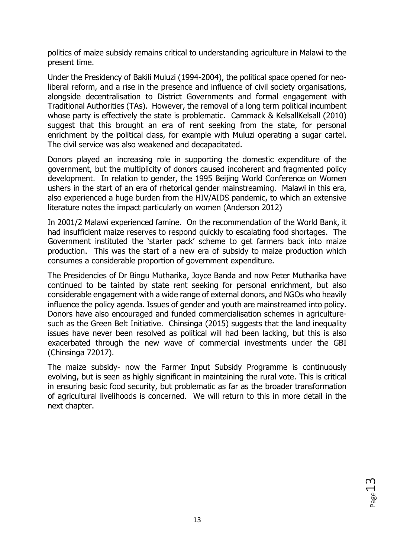politics of maize subsidy remains critical to understanding agriculture in Malawi to the present time.

Under the Presidency of Bakili Muluzi (1994-2004), the political space opened for neoliberal reform, and a rise in the presence and influence of civil society organisations, alongside decentralisation to District Governments and formal engagement with Traditional Authorities (TAs). However, the removal of a long term political incumbent whose party is effectively the state is problematic. Cammack & KelsallKelsall (2010) suggest that this brought an era of rent seeking from the state, for personal enrichment by the political class, for example with Muluzi operating a sugar cartel. The civil service was also weakened and decapacitated.

Donors played an increasing role in supporting the domestic expenditure of the government, but the multiplicity of donors caused incoherent and fragmented policy development. In relation to gender, the 1995 Beijing World Conference on Women ushers in the start of an era of rhetorical gender mainstreaming. Malawi in this era, also experienced a huge burden from the HIV/AIDS pandemic, to which an extensive literature notes the impact particularly on women (Anderson 2012)

In 2001/2 Malawi experienced famine. On the recommendation of the World Bank, it had insufficient maize reserves to respond quickly to escalating food shortages. The Government instituted the 'starter pack' scheme to get farmers back into maize production. This was the start of a new era of subsidy to maize production which consumes a considerable proportion of government expenditure.

The Presidencies of Dr Bingu Mutharika, Joyce Banda and now Peter Mutharika have continued to be tainted by state rent seeking for personal enrichment, but also considerable engagement with a wide range of external donors, and NGOs who heavily influence the policy agenda. Issues of gender and youth are mainstreamed into policy. Donors have also encouraged and funded commercialisation schemes in agriculturesuch as the Green Belt Initiative. Chinsinga (2015) suggests that the land inequality issues have never been resolved as political will had been lacking, but this is also exacerbated through the new wave of commercial investments under the GBI (Chinsinga 72017).

The maize subsidy- now the Farmer Input Subsidy Programme is continuously evolving, but is seen as highly significant in maintaining the rural vote. This is critical in ensuring basic food security, but problematic as far as the broader transformation of agricultural livelihoods is concerned. We will return to this in more detail in the next chapter.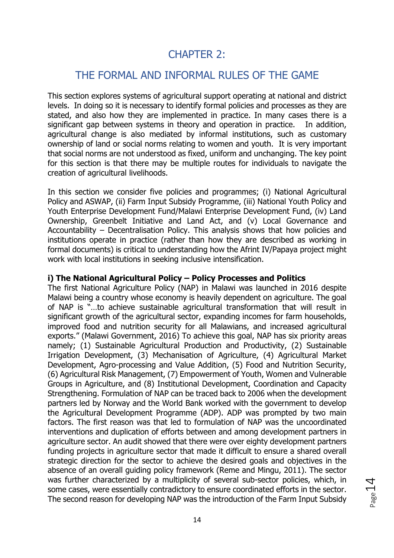# CHAPTER 2:

## THE FORMAL AND INFORMAL RULES OF THE GAME

This section explores systems of agricultural support operating at national and district levels. In doing so it is necessary to identify formal policies and processes as they are stated, and also how they are implemented in practice. In many cases there is a significant gap between systems in theory and operation in practice. In addition, agricultural change is also mediated by informal institutions, such as customary ownership of land or social norms relating to women and youth. It is very important that social norms are not understood as fixed, uniform and unchanging. The key point for this section is that there may be multiple routes for individuals to navigate the creation of agricultural livelihoods.

In this section we consider five policies and programmes; (i) National Agricultural Policy and ASWAP, (ii) Farm Input Subsidy Programme, (iii) National Youth Policy and Youth Enterprise Development Fund/Malawi Enterprise Development Fund, (iv) Land Ownership, Greenbelt Initiative and Land Act, and (v) Local Governance and Accountability – Decentralisation Policy. This analysis shows that how policies and institutions operate in practice (rather than how they are described as working in formal documents) is critical to understanding how the Afrint IV/Papaya project might work with local institutions in seeking inclusive intensification.

#### **i) The National Agricultural Policy – Policy Processes and Politics**

The first National Agriculture Policy (NAP) in Malawi was launched in 2016 despite Malawi being a country whose economy is heavily dependent on agriculture. The goal of NAP is "…to achieve sustainable agricultural transformation that will result in significant growth of the agricultural sector, expanding incomes for farm households, improved food and nutrition security for all Malawians, and increased agricultural exports." (Malawi Government, 2016) To achieve this goal, NAP has six priority areas namely; (1) Sustainable Agricultural Production and Productivity, (2) Sustainable Irrigation Development, (3) Mechanisation of Agriculture, (4) Agricultural Market Development, Agro-processing and Value Addition, (5) Food and Nutrition Security, (6) Agricultural Risk Management, (7) Empowerment of Youth, Women and Vulnerable Groups in Agriculture, and (8) Institutional Development, Coordination and Capacity Strengthening. Formulation of NAP can be traced back to 2006 when the development partners led by Norway and the World Bank worked with the government to develop the Agricultural Development Programme (ADP). ADP was prompted by two main factors. The first reason was that led to formulation of NAP was the uncoordinated interventions and duplication of efforts between and among development partners in agriculture sector. An audit showed that there were over eighty development partners funding projects in agriculture sector that made it difficult to ensure a shared overall strategic direction for the sector to achieve the desired goals and objectives in the absence of an overall guiding policy framework (Reme and Mingu, 2011). The sector was further characterized by a multiplicity of several sub-sector policies, which, in some cases, were essentially contradictory to ensure coordinated efforts in the sector. The second reason for developing NAP was the introduction of the Farm Input Subsidy

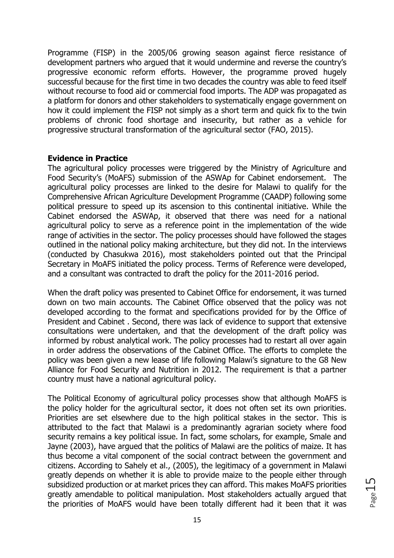Programme (FISP) in the 2005/06 growing season against fierce resistance of development partners who argued that it would undermine and reverse the country's progressive economic reform efforts. However, the programme proved hugely successful because for the first time in two decades the country was able to feed itself without recourse to food aid or commercial food imports. The ADP was propagated as a platform for donors and other stakeholders to systematically engage government on how it could implement the FISP not simply as a short term and quick fix to the twin problems of chronic food shortage and insecurity, but rather as a vehicle for progressive structural transformation of the agricultural sector (FAO, 2015).

#### **Evidence in Practice**

The agricultural policy processes were triggered by the Ministry of Agriculture and Food Security's (MoAFS) submission of the ASWAp for Cabinet endorsement. The agricultural policy processes are linked to the desire for Malawi to qualify for the Comprehensive African Agriculture Development Programme (CAADP) following some political pressure to speed up its ascension to this continental initiative. While the Cabinet endorsed the ASWAp, it observed that there was need for a national agricultural policy to serve as a reference point in the implementation of the wide range of activities in the sector. The policy processes should have followed the stages outlined in the national policy making architecture, but they did not. In the interviews (conducted by Chasukwa 2016), most stakeholders pointed out that the Principal Secretary in MoAFS initiated the policy process. Terms of Reference were developed, and a consultant was contracted to draft the policy for the 2011-2016 period.

When the draft policy was presented to Cabinet Office for endorsement, it was turned down on two main accounts. The Cabinet Office observed that the policy was not developed according to the format and specifications provided for by the Office of President and Cabinet . Second, there was lack of evidence to support that extensive consultations were undertaken, and that the development of the draft policy was informed by robust analytical work. The policy processes had to restart all over again in order address the observations of the Cabinet Office. The efforts to complete the policy was been given a new lease of life following Malawi's signature to the G8 New Alliance for Food Security and Nutrition in 2012. The requirement is that a partner country must have a national agricultural policy.

The Political Economy of agricultural policy processes show that although MoAFS is the policy holder for the agricultural sector, it does not often set its own priorities. Priorities are set elsewhere due to the high political stakes in the sector. This is attributed to the fact that Malawi is a predominantly agrarian society where food security remains a key political issue. In fact, some scholars, for example, Smale and Jayne (2003), have argued that the politics of Malawi are the politics of maize. It has thus become a vital component of the social contract between the government and citizens. According to Sahely et al., (2005), the legitimacy of a government in Malawi greatly depends on whether it is able to provide maize to the people either through subsidized production or at market prices they can afford. This makes MoAFS priorities greatly amendable to political manipulation. Most stakeholders actually argued that the priorities of MoAFS would have been totally different had it been that it was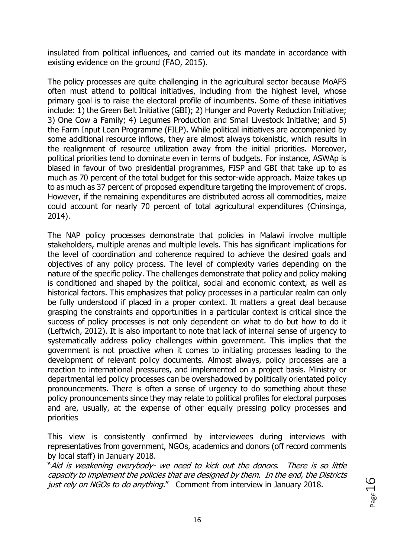insulated from political influences, and carried out its mandate in accordance with existing evidence on the ground (FAO, 2015).

The policy processes are quite challenging in the agricultural sector because MoAFS often must attend to political initiatives, including from the highest level, whose primary goal is to raise the electoral profile of incumbents. Some of these initiatives include: 1) the Green Belt Initiative (GBI); 2) Hunger and Poverty Reduction Initiative; 3) One Cow a Family; 4) Legumes Production and Small Livestock Initiative; and 5) the Farm Input Loan Programme (FILP). While political initiatives are accompanied by some additional resource inflows, they are almost always tokenistic, which results in the realignment of resource utilization away from the initial priorities. Moreover, political priorities tend to dominate even in terms of budgets. For instance, ASWAp is biased in favour of two presidential programmes, FISP and GBI that take up to as much as 70 percent of the total budget for this sector-wide approach. Maize takes up to as much as 37 percent of proposed expenditure targeting the improvement of crops. However, if the remaining expenditures are distributed across all commodities, maize could account for nearly 70 percent of total agricultural expenditures (Chinsinga, 2014).

The NAP policy processes demonstrate that policies in Malawi involve multiple stakeholders, multiple arenas and multiple levels. This has significant implications for the level of coordination and coherence required to achieve the desired goals and objectives of any policy process. The level of complexity varies depending on the nature of the specific policy. The challenges demonstrate that policy and policy making is conditioned and shaped by the political, social and economic context, as well as historical factors. This emphasizes that policy processes in a particular realm can only be fully understood if placed in a proper context. It matters a great deal because grasping the constraints and opportunities in a particular context is critical since the success of policy processes is not only dependent on what to do but how to do it (Leftwich, 2012). It is also important to note that lack of internal sense of urgency to systematically address policy challenges within government. This implies that the government is not proactive when it comes to initiating processes leading to the development of relevant policy documents. Almost always, policy processes are a reaction to international pressures, and implemented on a project basis. Ministry or departmental led policy processes can be overshadowed by politically orientated policy pronouncements. There is often a sense of urgency to do something about these policy pronouncements since they may relate to political profiles for electoral purposes and are, usually, at the expense of other equally pressing policy processes and priorities

This view is consistently confirmed by interviewees during interviews with representatives from government, NGOs, academics and donors (off record comments by local staff) in January 2018.

"Aid is weakening everybody- we need to kick out the donors. There is so little capacity to implement the policies that are designed by them. In the end, the Districts just rely on NGOs to do anything." Comment from interview in January 2018.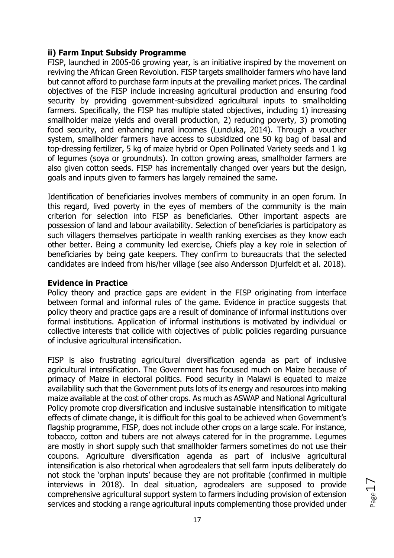#### **ii) Farm Input Subsidy Programme**

FISP, launched in 2005-06 growing year, is an initiative inspired by the movement on reviving the African Green Revolution. FISP targets smallholder farmers who have land but cannot afford to purchase farm inputs at the prevailing market prices. The cardinal objectives of the FISP include increasing agricultural production and ensuring food security by providing government-subsidized agricultural inputs to smallholding farmers. Specifically, the FISP has multiple stated objectives, including 1) increasing smallholder maize yields and overall production, 2) reducing poverty, 3) promoting food security, and enhancing rural incomes (Lunduka, 2014). Through a voucher system, smallholder farmers have access to subsidized one 50 kg bag of basal and top-dressing fertilizer, 5 kg of maize hybrid or Open Pollinated Variety seeds and 1 kg of legumes (soya or groundnuts). In cotton growing areas, smallholder farmers are also given cotton seeds. FISP has incrementally changed over years but the design, goals and inputs given to farmers has largely remained the same.

Identification of beneficiaries involves members of community in an open forum. In this regard, lived poverty in the eyes of members of the community is the main criterion for selection into FISP as beneficiaries. Other important aspects are possession of land and labour availability. Selection of beneficiaries is participatory as such villagers themselves participate in wealth ranking exercises as they know each other better. Being a community led exercise, Chiefs play a key role in selection of beneficiaries by being gate keepers. They confirm to bureaucrats that the selected candidates are indeed from his/her village (see also Andersson Djurfeldt et al. 2018).

#### **Evidence in Practice**

Policy theory and practice gaps are evident in the FISP originating from interface between formal and informal rules of the game. Evidence in practice suggests that policy theory and practice gaps are a result of dominance of informal institutions over formal institutions. Application of informal institutions is motivated by individual or collective interests that collide with objectives of public policies regarding pursuance of inclusive agricultural intensification.

FISP is also frustrating agricultural diversification agenda as part of inclusive agricultural intensification. The Government has focused much on Maize because of primacy of Maize in electoral politics. Food security in Malawi is equated to maize availability such that the Government puts lots of its energy and resources into making maize available at the cost of other crops. As much as ASWAP and National Agricultural Policy promote crop diversification and inclusive sustainable intensification to mitigate effects of climate change, it is difficult for this goal to be achieved when Government's flagship programme, FISP, does not include other crops on a large scale. For instance, tobacco, cotton and tubers are not always catered for in the programme. Legumes are mostly in short supply such that smallholder farmers sometimes do not use their coupons. Agriculture diversification agenda as part of inclusive agricultural intensification is also rhetorical when agrodealers that sell farm inputs deliberately do not stock the 'orphan inputs' because they are not profitable (confirmed in multiple interviews in 2018). In deal situation, agrodealers are supposed to provide comprehensive agricultural support system to farmers including provision of extension services and stocking a range agricultural inputs complementing those provided under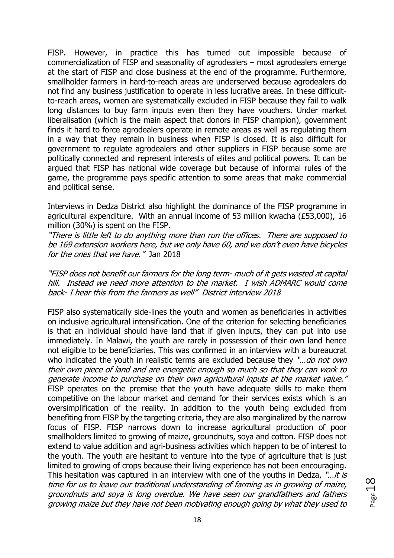FISP. However, in practice this has turned out impossible because of commercialization of FISP and seasonality of agrodealers – most agrodealers emerge at the start of FISP and close business at the end of the programme. Furthermore, smallholder farmers in hard-to-reach areas are underserved because agrodealers do not find any business justification to operate in less lucrative areas. In these difficultto-reach areas, women are systematically excluded in FISP because they fail to walk long distances to buy farm inputs even then they have vouchers. Under market liberalisation (which is the main aspect that donors in FISP champion), government finds it hard to force agrodealers operate in remote areas as well as regulating them in a way that they remain in business when FISP is closed. It is also difficult for government to regulate agrodealers and other suppliers in FISP because some are politically connected and represent interests of elites and political powers. It can be argued that FISP has national wide coverage but because of informal rules of the game, the programme pays specific attention to some areas that make commercial and political sense.

Interviews in Dedza District also highlight the dominance of the FISP programme in agricultural expenditure. With an annual income of 53 million kwacha (£53,000), 16 million (30%) is spent on the FISP.

"There is little left to do anything more than run the offices. There are supposed to be 169 extension workers here, but we only have 60, and we don't even have bicycles for the ones that we have." Jan 2018

"FISP does not benefit our farmers for the long term- much of it gets wasted at capital hill. Instead we need more attention to the market. I wish ADMARC would come back- I hear this from the farmers as well" District interview 2018

FISP also systematically side-lines the youth and women as beneficiaries in activities on inclusive agricultural intensification. One of the criterion for selecting beneficiaries is that an individual should have land that if given inputs, they can put into use immediately. In Malawi, the youth are rarely in possession of their own land hence not eligible to be beneficiaries. This was confirmed in an interview with a bureaucrat who indicated the youth in realistic terms are excluded because they "...do not own their own piece of land and are energetic enough so much so that they can work to generate income to purchase on their own agricultural inputs at the market value." FISP operates on the premise that the youth have adequate skills to make them competitive on the labour market and demand for their services exists which is an oversimplification of the reality. In addition to the youth being excluded from benefiting from FISP by the targeting criteria, they are also marginalized by the narrow focus of FISP. FISP narrows down to increase agricultural production of poor smallholders limited to growing of maize, groundnuts, soya and cotton. FISP does not extend to value addition and agri-business activities which happen to be of interest to the youth. The youth are hesitant to venture into the type of agriculture that is just limited to growing of crops because their living experience has not been encouraging. This hesitation was captured in an interview with one of the youths in Dedza, "...it is time for us to leave our traditional understanding of farming as in growing of maize, groundnuts and soya is long overdue. We have seen our grandfathers and fathers growing maize but they have not been motivating enough going by what they used to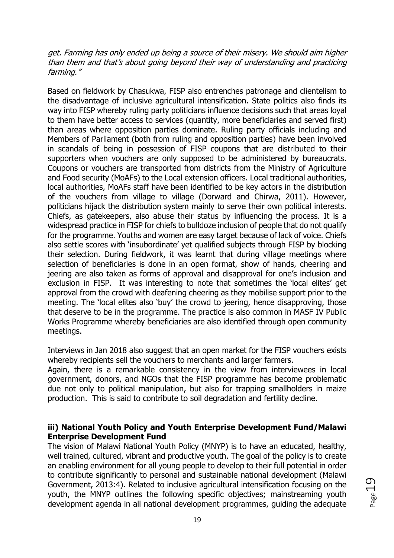#### get. Farming has only ended up being a source of their misery. We should aim higher than them and that's about going beyond their way of understanding and practicing farming."

Based on fieldwork by Chasukwa, FISP also entrenches patronage and clientelism to the disadvantage of inclusive agricultural intensification. State politics also finds its way into FISP whereby ruling party politicians influence decisions such that areas loyal to them have better access to services (quantity, more beneficiaries and served first) than areas where opposition parties dominate. Ruling party officials including and Members of Parliament (both from ruling and opposition parties) have been involved in scandals of being in possession of FISP coupons that are distributed to their supporters when vouchers are only supposed to be administered by bureaucrats. Coupons or vouchers are transported from districts from the Ministry of Agriculture and Food security (MoAFs) to the Local extension officers. Local traditional authorities, local authorities, MoAFs staff have been identified to be key actors in the distribution of the vouchers from village to village (Dorward and Chirwa, 2011). However, politicians hijack the distribution system mainly to serve their own political interests. Chiefs, as gatekeepers, also abuse their status by influencing the process. It is a widespread practice in FISP for chiefs to bulldoze inclusion of people that do not qualify for the programme. Youths and women are easy target because of lack of voice. Chiefs also settle scores with 'insubordinate' yet qualified subjects through FISP by blocking their selection. During fieldwork, it was learnt that during village meetings where selection of beneficiaries is done in an open format, show of hands, cheering and jeering are also taken as forms of approval and disapproval for one's inclusion and exclusion in FISP. It was interesting to note that sometimes the 'local elites' get approval from the crowd with deafening cheering as they mobilise support prior to the meeting. The 'local elites also 'buy' the crowd to jeering, hence disapproving, those that deserve to be in the programme. The practice is also common in MASF IV Public Works Programme whereby beneficiaries are also identified through open community meetings.

Interviews in Jan 2018 also suggest that an open market for the FISP vouchers exists whereby recipients sell the vouchers to merchants and larger farmers.

Again, there is a remarkable consistency in the view from interviewees in local government, donors, and NGOs that the FISP programme has become problematic due not only to political manipulation, but also for trapping smallholders in maize production. This is said to contribute to soil degradation and fertility decline.

#### **iii) National Youth Policy and Youth Enterprise Development Fund/Malawi Enterprise Development Fund**

The vision of Malawi National Youth Policy (MNYP) is to have an educated, healthy, well trained, cultured, vibrant and productive youth. The goal of the policy is to create an enabling environment for all young people to develop to their full potential in order to contribute significantly to personal and sustainable national development (Malawi Government, 2013:4). Related to inclusive agricultural intensification focusing on the youth, the MNYP outlines the following specific objectives; mainstreaming youth development agenda in all national development programmes, guiding the adequate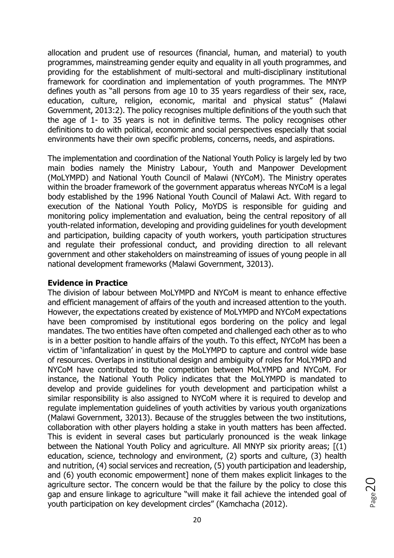allocation and prudent use of resources (financial, human, and material) to youth programmes, mainstreaming gender equity and equality in all youth programmes, and providing for the establishment of multi-sectoral and multi-disciplinary institutional framework for coordination and implementation of youth programmes. The MNYP defines youth as "all persons from age 10 to 35 years regardless of their sex, race, education, culture, religion, economic, marital and physical status" (Malawi Government, 2013:2). The policy recognises multiple definitions of the youth such that the age of 1- to 35 years is not in definitive terms. The policy recognises other definitions to do with political, economic and social perspectives especially that social environments have their own specific problems, concerns, needs, and aspirations.

The implementation and coordination of the National Youth Policy is largely led by two main bodies namely the Ministry Labour, Youth and Manpower Development (MoLYMPD) and National Youth Council of Malawi (NYCoM). The Ministry operates within the broader framework of the government apparatus whereas NYCoM is a legal body established by the 1996 National Youth Council of Malawi Act. With regard to execution of the National Youth Policy, MoYDS is responsible for guiding and monitoring policy implementation and evaluation, being the central repository of all youth-related information, developing and providing guidelines for youth development and participation, building capacity of youth workers, youth participation structures and regulate their professional conduct, and providing direction to all relevant government and other stakeholders on mainstreaming of issues of young people in all national development frameworks (Malawi Government, 32013).

#### **Evidence in Practice**

The division of labour between MoLYMPD and NYCoM is meant to enhance effective and efficient management of affairs of the youth and increased attention to the youth. However, the expectations created by existence of MoLYMPD and NYCoM expectations have been compromised by institutional egos bordering on the policy and legal mandates. The two entities have often competed and challenged each other as to who is in a better position to handle affairs of the youth. To this effect, NYCoM has been a victim of 'infantalization' in quest by the MoLYMPD to capture and control wide base of resources. Overlaps in institutional design and ambiguity of roles for MoLYMPD and NYCoM have contributed to the competition between MoLYMPD and NYCoM. For instance, the National Youth Policy indicates that the MoLYMPD is mandated to develop and provide guidelines for youth development and participation whilst a similar responsibility is also assigned to NYCoM where it is required to develop and regulate implementation guidelines of youth activities by various youth organizations (Malawi Government, 32013). Because of the struggles between the two institutions, collaboration with other players holding a stake in youth matters has been affected. This is evident in several cases but particularly pronounced is the weak linkage between the National Youth Policy and agriculture. All MNYP six priority areas; [(1) education, science, technology and environment, (2) sports and culture, (3) health and nutrition, (4) social services and recreation, (5) youth participation and leadership, and (6) youth economic empowerment] none of them makes explicit linkages to the agriculture sector. The concern would be that the failure by the policy to close this gap and ensure linkage to agriculture "will make it fail achieve the intended goal of youth participation on key development circles" (Kamchacha (2012).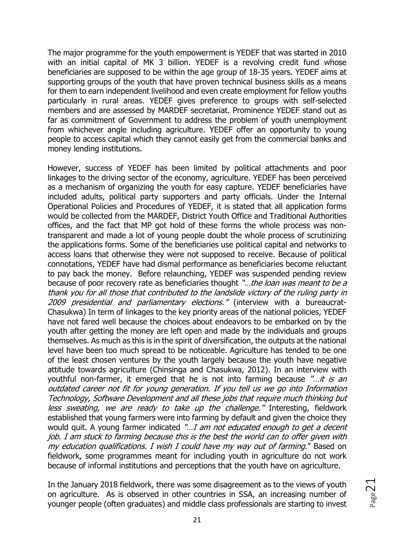The major programme for the youth empowerment is YEDEF that was started in 2010 with an initial capital of MK 3 billion. YEDEF is a revolving credit fund whose beneficiaries are supposed to be within the age group of 18-35 years. YEDEF aims at supporting groups of the youth that have proven technical business skills as a means for them to earn independent livelihood and even create employment for fellow youths particularly in rural areas. YEDEF gives preference to groups with self-selected members and are assessed by MARDEF secretariat. Prominence YEDEF stand out as far as commitment of Government to address the problem of youth unemployment from whichever angle including agriculture. YEDEF offer an opportunity to young people to access capital which they cannot easily get from the commercial banks and money lending institutions.

However, success of YEDEF has been limited by political attachments and poor linkages to the driving sector of the economy, agriculture. YEDEF has been perceived as a mechanism of organizing the youth for easy capture. YEDEF beneficiaries have included adults, political party supporters and party officials. Under the Internal Operational Policies and Procedures of YEDEF, it is stated that all application forms would be collected from the MARDEF, District Youth Office and Traditional Authorities offices, and the fact that MP got hold of these forms the whole process was nontransparent and made a lot of young people doubt the whole process of scrutinizing the applications forms. Some of the beneficiaries use political capital and networks to access loans that otherwise they were not supposed to receive. Because of political connotations, YEDEF have had dismal performance as beneficiaries become reluctant to pay back the money. Before relaunching, YEDEF was suspended pending review because of poor recovery rate as beneficiaries thought "...the loan was meant to be a thank you for all those that contributed to the landslide victory of the ruling party in 2009 presidential and parliamentary elections." (interview with a bureaucrat-Chasukwa) In term of linkages to the key priority areas of the national policies, YEDEF have not fared well because the choices about endeavors to be embarked on by the youth after getting the money are left open and made by the individuals and groups themselves. As much as this is in the spirit of diversification, the outputs at the national level have been too much spread to be noticeable. Agriculture has tended to be one of the least chosen ventures by the youth largely because the youth have negative attitude towards agriculture (Chinsinga and Chasukwa, 2012). In an interview with youthful non-farmer, it emerged that he is not into farming because "...it is an outdated career not fit for young generation. If you tell us we go into Information Technology, Software Development and all these jobs that require much thinking but less sweating, we are ready to take up the challenge." Interesting, fieldwork established that young farmers were into farming by default and given the choice they would quit. A young farmer indicated "...I am not educated enough to get a decent job. I am stuck to farming because this is the best the world can to offer given with my education qualifications. I wish I could have my way out of farming." Based on fieldwork, some programmes meant for including youth in agriculture do not work because of informal institutions and perceptions that the youth have on agriculture.

In the January 2018 fieldwork, there was some disagreement as to the views of youth on agriculture. As is observed in other countries in SSA, an increasing number of younger people (often graduates) and middle class professionals are starting to invest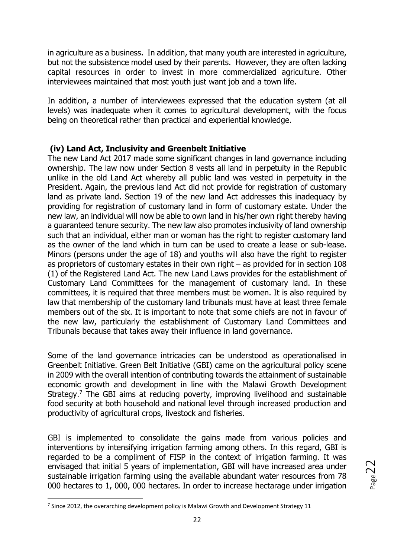in agriculture as a business. In addition, that many youth are interested in agriculture, but not the subsistence model used by their parents. However, they are often lacking capital resources in order to invest in more commercialized agriculture. Other interviewees maintained that most youth just want job and a town life.

In addition, a number of interviewees expressed that the education system (at all levels) was inadequate when it comes to agricultural development, with the focus being on theoretical rather than practical and experiential knowledge.

#### **(iv) Land Act, Inclusivity and Greenbelt Initiative**

The new Land Act 2017 made some significant changes in land governance including ownership. The law now under Section 8 vests all land in perpetuity in the Republic unlike in the old Land Act whereby all public land was vested in perpetuity in the President. Again, the previous land Act did not provide for registration of customary land as private land. Section 19 of the new land Act addresses this inadequacy by providing for registration of customary land in form of customary estate. Under the new law, an individual will now be able to own land in his/her own right thereby having a guaranteed tenure security. The new law also promotes inclusivity of land ownership such that an individual, either man or woman has the right to register customary land as the owner of the land which in turn can be used to create a lease or sub-lease. Minors (persons under the age of 18) and youths will also have the right to register as proprietors of customary estates in their own right – as provided for in section 108 (1) of the Registered Land Act. The new Land Laws provides for the establishment of Customary Land Committees for the management of customary land. In these committees, it is required that three members must be women. It is also required by law that membership of the customary land tribunals must have at least three female members out of the six. It is important to note that some chiefs are not in favour of the new law, particularly the establishment of Customary Land Committees and Tribunals because that takes away their influence in land governance.

Some of the land governance intricacies can be understood as operationalised in Greenbelt Initiative. Green Belt Initiative (GBI) came on the agricultural policy scene in 2009 with the overall intention of contributing towards the attainment of sustainable economic growth and development in line with the Malawi Growth Development Strategy.<sup>7</sup> The GBI aims at reducing poverty, improving livelihood and sustainable food security at both household and national level through increased production and productivity of agricultural crops, livestock and fisheries.

GBI is implemented to consolidate the gains made from various policies and interventions by intensifying irrigation farming among others. In this regard, GBI is regarded to be a compliment of FISP in the context of irrigation farming. It was envisaged that initial 5 years of implementation, GBI will have increased area under sustainable irrigation farming using the available abundant water resources from 78 000 hectares to 1, 000, 000 hectares. In order to increase hectarage under irrigation

 $_{\rm Page}$ 22

 $<sup>7</sup>$  Since 2012, the overarching development policy is Malawi Growth and Development Strategy 11</sup>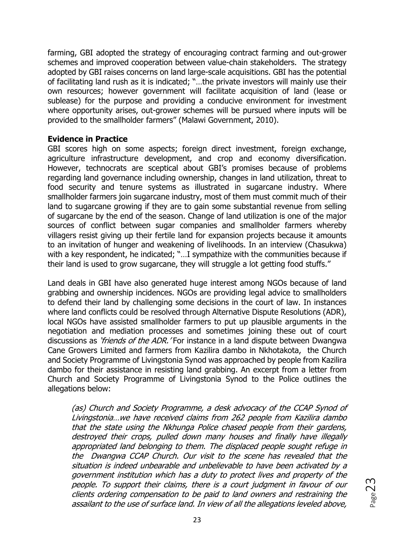farming, GBI adopted the strategy of encouraging contract farming and out-grower schemes and improved cooperation between value-chain stakeholders. The strategy adopted by GBI raises concerns on land large-scale acquisitions. GBI has the potential of facilitating land rush as it is indicated; "…the private investors will mainly use their own resources; however government will facilitate acquisition of land (lease or sublease) for the purpose and providing a conducive environment for investment where opportunity arises, out-grower schemes will be pursued where inputs will be provided to the smallholder farmers" (Malawi Government, 2010).

#### **Evidence in Practice**

GBI scores high on some aspects; foreign direct investment, foreign exchange, agriculture infrastructure development, and crop and economy diversification. However, technocrats are sceptical about GBI's promises because of problems regarding land governance including ownership, changes in land utilization, threat to food security and tenure systems as illustrated in sugarcane industry. Where smallholder farmers join sugarcane industry, most of them must commit much of their land to sugarcane growing if they are to gain some substantial revenue from selling of sugarcane by the end of the season. Change of land utilization is one of the major sources of conflict between sugar companies and smallholder farmers whereby villagers resist giving up their fertile land for expansion projects because it amounts to an invitation of hunger and weakening of livelihoods. In an interview (Chasukwa) with a key respondent, he indicated; "... I sympathize with the communities because if their land is used to grow sugarcane, they will struggle a lot getting food stuffs."

Land deals in GBI have also generated huge interest among NGOs because of land grabbing and ownership incidences. NGOs are providing legal advice to smallholders to defend their land by challenging some decisions in the court of law. In instances where land conflicts could be resolved through Alternative Dispute Resolutions (ADR), local NGOs have assisted smallholder farmers to put up plausible arguments in the negotiation and mediation processes and sometimes joining these out of court discussions as *'friends of the ADR.'* For instance in a land dispute between Dwangwa Cane Growers Limited and farmers from Kazilira dambo in Nkhotakota, the Church and Society Programme of Livingstonia Synod was approached by people from Kazilira dambo for their assistance in resisting land grabbing. An excerpt from a letter from Church and Society Programme of Livingstonia Synod to the Police outlines the allegations below:

(as) Church and Society Programme, a desk advocacy of the CCAP Synod of Livingstonia…we have received claims from 262 people from Kazilira dambo that the state using the Nkhunga Police chased people from their gardens, destroyed their crops, pulled down many houses and finally have illegally appropriated land belonging to them. The displaced people sought refuge in the Dwangwa CCAP Church. Our visit to the scene has revealed that the situation is indeed unbearable and unbelievable to have been activated by a government institution which has a duty to protect lives and property of the people. To support their claims, there is a court judgment in favour of our clients ordering compensation to be paid to land owners and restraining the assailant to the use of surface land. In view of all the allegations leveled above,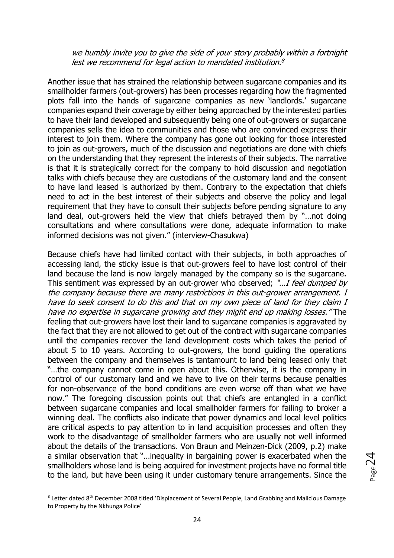#### we humbly invite you to give the side of your story probably within a fortnight lest we recommend for legal action to mandated institution. $8$

Another issue that has strained the relationship between sugarcane companies and its smallholder farmers (out-growers) has been processes regarding how the fragmented plots fall into the hands of sugarcane companies as new 'landlords.' sugarcane companies expand their coverage by either being approached by the interested parties to have their land developed and subsequently being one of out-growers or sugarcane companies sells the idea to communities and those who are convinced express their interest to join them. Where the company has gone out looking for those interested to join as out-growers, much of the discussion and negotiations are done with chiefs on the understanding that they represent the interests of their subjects. The narrative is that it is strategically correct for the company to hold discussion and negotiation talks with chiefs because they are custodians of the customary land and the consent to have land leased is authorized by them. Contrary to the expectation that chiefs need to act in the best interest of their subjects and observe the policy and legal requirement that they have to consult their subjects before pending signature to any land deal, out-growers held the view that chiefs betrayed them by "…not doing consultations and where consultations were done, adequate information to make informed decisions was not given." (interview-Chasukwa)

Because chiefs have had limited contact with their subjects, in both approaches of accessing land, the sticky issue is that out-growers feel to have lost control of their land because the land is now largely managed by the company so is the sugarcane. This sentiment was expressed by an out-grower who observed; "...I feel dumped by the company because there are many restrictions in this out-grower arrangement. I have to seek consent to do this and that on my own piece of land for they claim I have no expertise in sugarcane growing and they might end up making losses." The feeling that out-growers have lost their land to sugarcane companies is aggravated by the fact that they are not allowed to get out of the contract with sugarcane companies until the companies recover the land development costs which takes the period of about 5 to 10 years. According to out-growers, the bond guiding the operations between the company and themselves is tantamount to land being leased only that "…the company cannot come in open about this. Otherwise, it is the company in control of our customary land and we have to live on their terms because penalties for non-observance of the bond conditions are even worse off than what we have now." The foregoing discussion points out that chiefs are entangled in a conflict between sugarcane companies and local smallholder farmers for failing to broker a winning deal. The conflicts also indicate that power dynamics and local level politics are critical aspects to pay attention to in land acquisition processes and often they work to the disadvantage of smallholder farmers who are usually not well informed about the details of the transactions. Von Braun and Meinzen-Dick (2009, p.2) make a similar observation that "…inequality in bargaining power is exacerbated when the smallholders whose land is being acquired for investment projects have no formal title to the land, but have been using it under customary tenure arrangements. Since the

<sup>&</sup>lt;sup>8</sup> Letter dated 8<sup>th</sup> December 2008 titled 'Displacement of Several People, Land Grabbing and Malicious Damage to Property by the Nkhunga Police'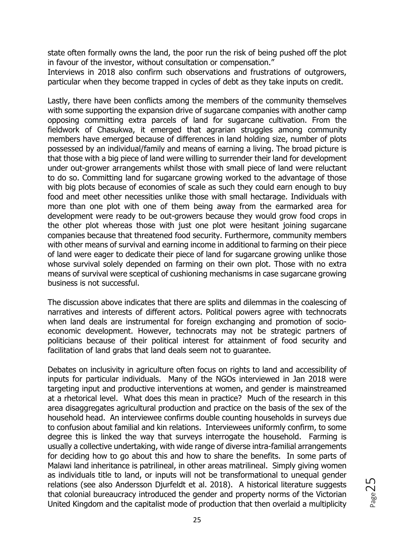state often formally owns the land, the poor run the risk of being pushed off the plot in favour of the investor, without consultation or compensation."

Interviews in 2018 also confirm such observations and frustrations of outgrowers, particular when they become trapped in cycles of debt as they take inputs on credit.

Lastly, there have been conflicts among the members of the community themselves with some supporting the expansion drive of sugarcane companies with another camp opposing committing extra parcels of land for sugarcane cultivation. From the fieldwork of Chasukwa, it emerged that agrarian struggles among community members have emerged because of differences in land holding size, number of plots possessed by an individual/family and means of earning a living. The broad picture is that those with a big piece of land were willing to surrender their land for development under out-grower arrangements whilst those with small piece of land were reluctant to do so. Committing land for sugarcane growing worked to the advantage of those with big plots because of economies of scale as such they could earn enough to buy food and meet other necessities unlike those with small hectarage. Individuals with more than one plot with one of them being away from the earmarked area for development were ready to be out-growers because they would grow food crops in the other plot whereas those with just one plot were hesitant joining sugarcane companies because that threatened food security. Furthermore, community members with other means of survival and earning income in additional to farming on their piece of land were eager to dedicate their piece of land for sugarcane growing unlike those whose survival solely depended on farming on their own plot. Those with no extra means of survival were sceptical of cushioning mechanisms in case sugarcane growing business is not successful.

The discussion above indicates that there are splits and dilemmas in the coalescing of narratives and interests of different actors. Political powers agree with technocrats when land deals are instrumental for foreign exchanging and promotion of socioeconomic development. However, technocrats may not be strategic partners of politicians because of their political interest for attainment of food security and facilitation of land grabs that land deals seem not to guarantee.

Debates on inclusivity in agriculture often focus on rights to land and accessibility of inputs for particular individuals. Many of the NGOs interviewed in Jan 2018 were targeting input and productive interventions at women, and gender is mainstreamed at a rhetorical level. What does this mean in practice? Much of the research in this area disaggregates agricultural production and practice on the basis of the sex of the household head. An interviewee confirms double counting households in surveys due to confusion about familial and kin relations. Interviewees uniformly confirm, to some degree this is linked the way that surveys interrogate the household. Farming is usually a collective undertaking, with wide range of diverse intra-familial arrangements for deciding how to go about this and how to share the benefits. In some parts of Malawi land inheritance is patrilineal, in other areas matrilineal. Simply giving women as individuals title to land, or inputs will not be transformational to unequal gender relations (see also Andersson Diurfeldt et al. 2018). A historical literature suggests that colonial bureaucracy introduced the gender and property norms of the Victorian United Kingdom and the capitalist mode of production that then overlaid a multiplicity

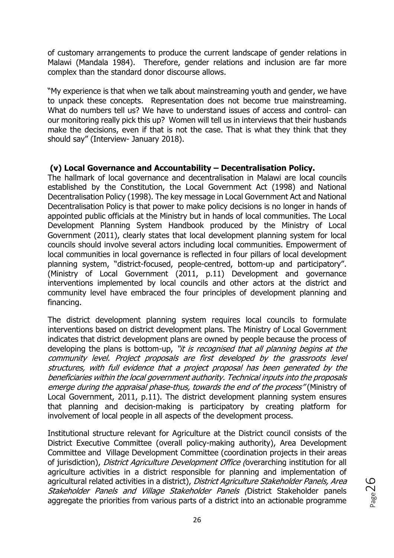of customary arrangements to produce the current landscape of gender relations in Malawi (Mandala 1984). Therefore, gender relations and inclusion are far more complex than the standard donor discourse allows.

"My experience is that when we talk about mainstreaming youth and gender, we have to unpack these concepts. Representation does not become true mainstreaming. What do numbers tell us? We have to understand issues of access and control- can our monitoring really pick this up? Women will tell us in interviews that their husbands make the decisions, even if that is not the case. That is what they think that they should say" (Interview- January 2018).

#### **(v) Local Governance and Accountability – Decentralisation Policy.**

The hallmark of local governance and decentralisation in Malawi are local councils established by the Constitution, the Local Government Act (1998) and National Decentralisation Policy (1998). The key message in Local Government Act and National Decentralisation Policy is that power to make policy decisions is no longer in hands of appointed public officials at the Ministry but in hands of local communities. The Local Development Planning System Handbook produced by the Ministry of Local Government (2011), clearly states that local development planning system for local councils should involve several actors including local communities. Empowerment of local communities in local governance is reflected in four pillars of local development planning system, "district-focused, people-centred, bottom-up and participatory". (Ministry of Local Government (2011, p.11) Development and governance interventions implemented by local councils and other actors at the district and community level have embraced the four principles of development planning and financing.

The district development planning system requires local councils to formulate interventions based on district development plans. The Ministry of Local Government indicates that district development plans are owned by people because the process of developing the plans is bottom-up, "it is recognised that all planning begins at the community level. Project proposals are first developed by the grassroots level structures, with full evidence that a project proposal has been generated by the beneficiaries within the local government authority. Technical inputs into the proposals emerge during the appraisal phase-thus, towards the end of the process" (Ministry of Local Government, 2011, p.11). The district development planning system ensures that planning and decision-making is participatory by creating platform for involvement of local people in all aspects of the development process.

Institutional structure relevant for Agriculture at the District council consists of the District Executive Committee (overall policy-making authority), Area Development Committee and Village Development Committee (coordination projects in their areas of jurisdiction), District Agriculture Development Office (overarching institution for all agriculture activities in a district responsible for planning and implementation of agricultural related activities in a district), District Agriculture Stakeholder Panels, Area Stakeholder Panels and Village Stakeholder Panels (District Stakeholder panels aggregate the priorities from various parts of a district into an actionable programme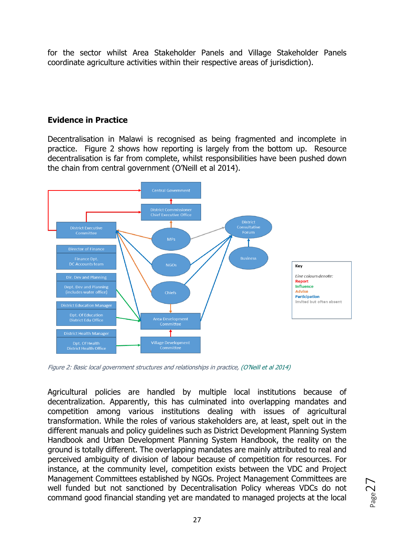for the sector whilst Area Stakeholder Panels and Village Stakeholder Panels coordinate agriculture activities within their respective areas of jurisdiction).

#### **Evidence in Practice**

Decentralisation in Malawi is recognised as being fragmented and incomplete in practice. Figure 2 shows how reporting is largely from the bottom up. Resource decentralisation is far from complete, whilst responsibilities have been pushed down the chain from central government (O'Neill et al 2014).



Figure 2: Basic local government structures and relationships in practice, (O'Neill et al 2014)

Agricultural policies are handled by multiple local institutions because of decentralization. Apparently, this has culminated into overlapping mandates and competition among various institutions dealing with issues of agricultural transformation. While the roles of various stakeholders are, at least, spelt out in the different manuals and policy guidelines such as District Development Planning System Handbook and Urban Development Planning System Handbook, the reality on the ground is totally different. The overlapping mandates are mainly attributed to real and perceived ambiguity of division of labour because of competition for resources. For instance, at the community level, competition exists between the VDC and Project Management Committees established by NGOs. Project Management Committees are well funded but not sanctioned by Decentralisation Policy whereas VDCs do not command good financial standing yet are mandated to managed projects at the local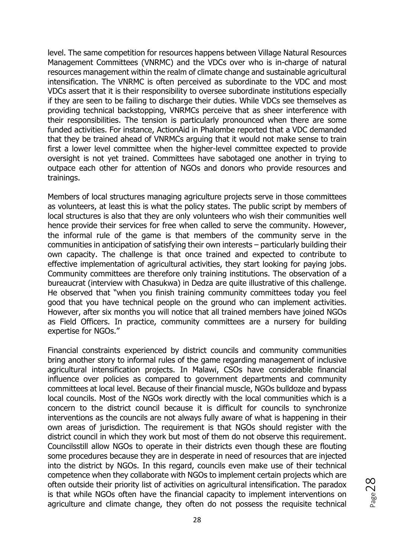level. The same competition for resources happens between Village Natural Resources Management Committees (VNRMC) and the VDCs over who is in-charge of natural resources management within the realm of climate change and sustainable agricultural intensification. The VNRMC is often perceived as subordinate to the VDC and most VDCs assert that it is their responsibility to oversee subordinate institutions especially if they are seen to be failing to discharge their duties. While VDCs see themselves as providing technical backstopping, VNRMCs perceive that as sheer interference with their responsibilities. The tension is particularly pronounced when there are some funded activities. For instance, ActionAid in Phalombe reported that a VDC demanded that they be trained ahead of VNRMCs arguing that it would not make sense to train first a lower level committee when the higher-level committee expected to provide oversight is not yet trained. Committees have sabotaged one another in trying to outpace each other for attention of NGOs and donors who provide resources and trainings.

Members of local structures managing agriculture projects serve in those committees as volunteers, at least this is what the policy states. The public script by members of local structures is also that they are only volunteers who wish their communities well hence provide their services for free when called to serve the community. However, the informal rule of the game is that members of the community serve in the communities in anticipation of satisfying their own interests – particularly building their own capacity. The challenge is that once trained and expected to contribute to effective implementation of agricultural activities, they start looking for paying jobs. Community committees are therefore only training institutions. The observation of a bureaucrat (interview with Chasukwa) in Dedza are quite illustrative of this challenge. He observed that "when you finish training community committees today you feel good that you have technical people on the ground who can implement activities. However, after six months you will notice that all trained members have joined NGOs as Field Officers. In practice, community committees are a nursery for building expertise for NGOs."

Financial constraints experienced by district councils and community communities bring another story to informal rules of the game regarding management of inclusive agricultural intensification projects. In Malawi, CSOs have considerable financial influence over policies as compared to government departments and community committees at local level. Because of their financial muscle, NGOs bulldoze and bypass local councils. Most of the NGOs work directly with the local communities which is a concern to the district council because it is difficult for councils to synchronize interventions as the councils are not always fully aware of what is happening in their own areas of jurisdiction. The requirement is that NGOs should register with the district council in which they work but most of them do not observe this requirement. Councilsstill allow NGOs to operate in their districts even though these are flouting some procedures because they are in desperate in need of resources that are injected into the district by NGOs. In this regard, councils even make use of their technical competence when they collaborate with NGOs to implement certain projects which are often outside their priority list of activities on agricultural intensification. The paradox is that while NGOs often have the financial capacity to implement interventions on agriculture and climate change, they often do not possess the requisite technical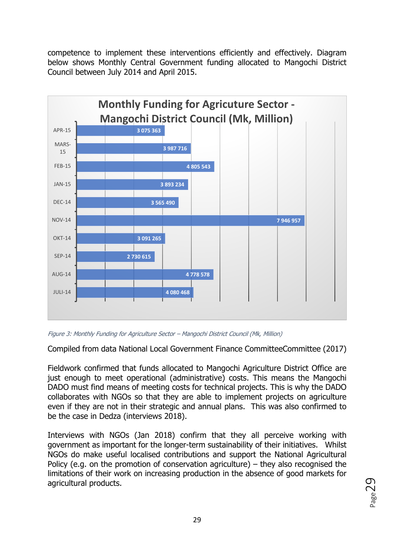competence to implement these interventions efficiently and effectively. Diagram below shows Monthly Central Government funding allocated to Mangochi District Council between July 2014 and April 2015.



Figure 3: Monthly Funding for Agriculture Sector – Mangochi District Council (Mk, Million)

Compiled from data National Local Government Finance CommitteeCommittee (2017)

Fieldwork confirmed that funds allocated to Mangochi Agriculture District Office are just enough to meet operational (administrative) costs. This means the Mangochi DADO must find means of meeting costs for technical projects. This is why the DADO collaborates with NGOs so that they are able to implement projects on agriculture even if they are not in their strategic and annual plans. This was also confirmed to be the case in Dedza (interviews 2018).

Interviews with NGOs (Jan 2018) confirm that they all perceive working with government as important for the longer-term sustainability of their initiatives. Whilst NGOs do make useful localised contributions and support the National Agricultural Policy (e.g. on the promotion of conservation agriculture) – they also recognised the limitations of their work on increasing production in the absence of good markets for agricultural products.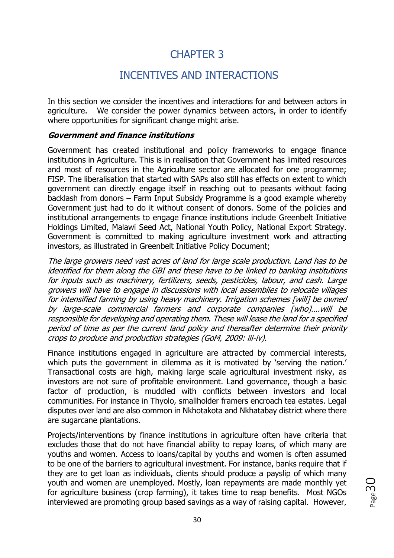# CHAPTER 3

## INCENTIVES AND INTERACTIONS

In this section we consider the incentives and interactions for and between actors in agriculture. We consider the power dynamics between actors, in order to identify where opportunities for significant change might arise.

#### **Government and finance institutions**

Government has created institutional and policy frameworks to engage finance institutions in Agriculture. This is in realisation that Government has limited resources and most of resources in the Agriculture sector are allocated for one programme; FISP. The liberalisation that started with SAPs also still has effects on extent to which government can directly engage itself in reaching out to peasants without facing backlash from donors – Farm Input Subsidy Programme is a good example whereby Government just had to do it without consent of donors. Some of the policies and institutional arrangements to engage finance institutions include Greenbelt Initiative Holdings Limited, Malawi Seed Act, National Youth Policy, National Export Strategy. Government is committed to making agriculture investment work and attracting investors, as illustrated in Greenbelt Initiative Policy Document;

The large growers need vast acres of land for large scale production. Land has to be identified for them along the GBI and these have to be linked to banking institutions for inputs such as machinery, fertilizers, seeds, pesticides, labour, and cash. Large growers will have to engage in discussions with local assemblies to relocate villages for intensified farming by using heavy machinery. Irrigation schemes [will] be owned by large-scale commercial farmers and corporate companies [who]….will be responsible for developing and operating them. These will lease the land for a specified period of time as per the current land policy and thereafter determine their priority crops to produce and production strategies (GoM, 2009: iii-iv).

Finance institutions engaged in agriculture are attracted by commercial interests, which puts the government in dilemma as it is motivated by 'serving the nation.' Transactional costs are high, making large scale agricultural investment risky, as investors are not sure of profitable environment. Land governance, though a basic factor of production, is muddled with conflicts between investors and local communities. For instance in Thyolo, smallholder framers encroach tea estates. Legal disputes over land are also common in Nkhotakota and Nkhatabay district where there are sugarcane plantations.

Projects/interventions by finance institutions in agriculture often have criteria that excludes those that do not have financial ability to repay loans, of which many are youths and women. Access to loans/capital by youths and women is often assumed to be one of the barriers to agricultural investment. For instance, banks require that if they are to get loan as individuals, clients should produce a payslip of which many youth and women are unemployed. Mostly, loan repayments are made monthly yet for agriculture business (crop farming), it takes time to reap benefits. Most NGOs interviewed are promoting group based savings as a way of raising capital. However,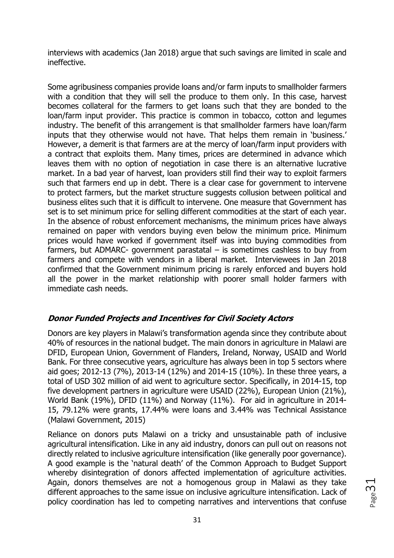interviews with academics (Jan 2018) argue that such savings are limited in scale and ineffective.

Some agribusiness companies provide loans and/or farm inputs to smallholder farmers with a condition that they will sell the produce to them only. In this case, harvest becomes collateral for the farmers to get loans such that they are bonded to the loan/farm input provider. This practice is common in tobacco, cotton and legumes industry. The benefit of this arrangement is that smallholder farmers have loan/farm inputs that they otherwise would not have. That helps them remain in 'business.' However, a demerit is that farmers are at the mercy of loan/farm input providers with a contract that exploits them. Many times, prices are determined in advance which leaves them with no option of negotiation in case there is an alternative lucrative market. In a bad year of harvest, loan providers still find their way to exploit farmers such that farmers end up in debt. There is a clear case for government to intervene to protect farmers, but the market structure suggests collusion between political and business elites such that it is difficult to intervene. One measure that Government has set is to set minimum price for selling different commodities at the start of each year. In the absence of robust enforcement mechanisms, the minimum prices have always remained on paper with vendors buying even below the minimum price. Minimum prices would have worked if government itself was into buying commodities from farmers, but ADMARC- government parastatal – is sometimes cashless to buy from farmers and compete with vendors in a liberal market. Interviewees in Jan 2018 confirmed that the Government minimum pricing is rarely enforced and buyers hold all the power in the market relationship with poorer small holder farmers with immediate cash needs.

### **Donor Funded Projects and Incentives for Civil Society Actors**

Donors are key players in Malawi's transformation agenda since they contribute about 40% of resources in the national budget. The main donors in agriculture in Malawi are DFID, European Union, Government of Flanders, Ireland, Norway, USAID and World Bank. For three consecutive years, agriculture has always been in top 5 sectors where aid goes; 2012-13 (7%), 2013-14 (12%) and 2014-15 (10%). In these three years, a total of USD 302 million of aid went to agriculture sector. Specifically, in 2014-15, top five development partners in agriculture were USAID (22%), European Union (21%), World Bank (19%), DFID (11%) and Norway (11%). For aid in agriculture in 2014- 15, 79.12% were grants, 17.44% were loans and 3.44% was Technical Assistance (Malawi Government, 2015)

Reliance on donors puts Malawi on a tricky and unsustainable path of inclusive agricultural intensification. Like in any aid industry, donors can pull out on reasons not directly related to inclusive agriculture intensification (like generally poor governance). A good example is the 'natural death' of the Common Approach to Budget Support whereby disintegration of donors affected implementation of agriculture activities. Again, donors themselves are not a homogenous group in Malawi as they take different approaches to the same issue on inclusive agriculture intensification. Lack of policy coordination has led to competing narratives and interventions that confuse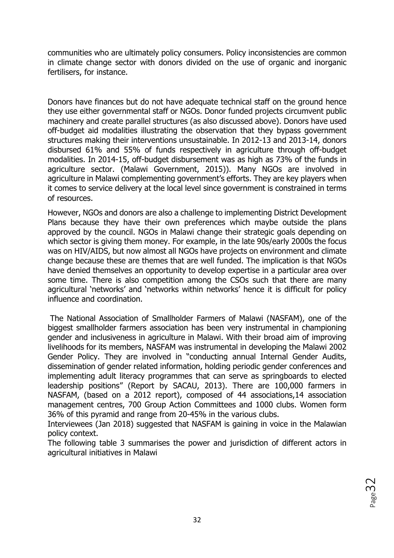communities who are ultimately policy consumers. Policy inconsistencies are common in climate change sector with donors divided on the use of organic and inorganic fertilisers, for instance.

Donors have finances but do not have adequate technical staff on the ground hence they use either governmental staff or NGOs. Donor funded projects circumvent public machinery and create parallel structures (as also discussed above). Donors have used off-budget aid modalities illustrating the observation that they bypass government structures making their interventions unsustainable. In 2012-13 and 2013-14, donors disbursed 61% and 55% of funds respectively in agriculture through off-budget modalities. In 2014-15, off-budget disbursement was as high as 73% of the funds in agriculture sector. (Malawi Government, 2015)). Many NGOs are involved in agriculture in Malawi complementing government's efforts. They are key players when it comes to service delivery at the local level since government is constrained in terms of resources.

However, NGOs and donors are also a challenge to implementing District Development Plans because they have their own preferences which maybe outside the plans approved by the council. NGOs in Malawi change their strategic goals depending on which sector is giving them money. For example, in the late 90s/early 2000s the focus was on HIV/AIDS, but now almost all NGOs have projects on environment and climate change because these are themes that are well funded. The implication is that NGOs have denied themselves an opportunity to develop expertise in a particular area over some time. There is also competition among the CSOs such that there are many agricultural 'networks' and 'networks within networks' hence it is difficult for policy influence and coordination.

The National Association of Smallholder Farmers of Malawi (NASFAM), one of the biggest smallholder farmers association has been very instrumental in championing gender and inclusiveness in agriculture in Malawi. With their broad aim of improving livelihoods for its members, NASFAM was instrumental in developing the Malawi 2002 Gender Policy. They are involved in "conducting annual Internal Gender Audits, dissemination of gender related information, holding periodic gender conferences and implementing adult literacy programmes that can serve as springboards to elected leadership positions" (Report by SACAU, 2013). There are 100,000 farmers in NASFAM, (based on a 2012 report), composed of 44 associations,14 association management centres, 700 Group Action Committees and 1000 clubs. Women form 36% of this pyramid and range from 20-45% in the various clubs.

Interviewees (Jan 2018) suggested that NASFAM is gaining in voice in the Malawian policy context.

The following table 3 summarises the power and jurisdiction of different actors in agricultural initiatives in Malawi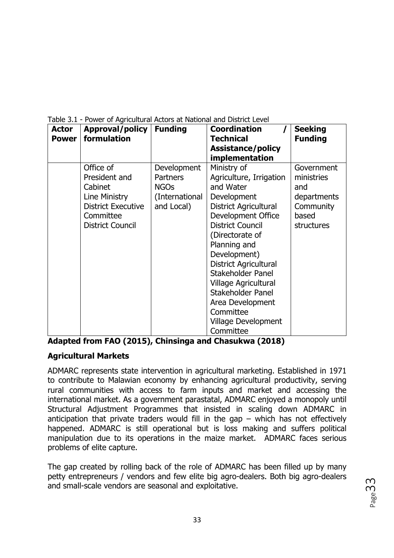| Actor<br><b>Power</b> | TOWCE OF Agricultural Accord at National and Didirict Ecver<br>Approval/policy<br>formulation | <b>Funding</b>                 | <b>Coordination</b><br><b>Technical</b> | <b>Seeking</b><br><b>Funding</b> |
|-----------------------|-----------------------------------------------------------------------------------------------|--------------------------------|-----------------------------------------|----------------------------------|
|                       |                                                                                               |                                | <b>Assistance/policy</b>                |                                  |
|                       | Office of                                                                                     |                                | implementation<br>Ministry of           |                                  |
|                       | President and                                                                                 | Development<br><b>Partners</b> | Agriculture, Irrigation                 | Government<br>ministries         |
|                       | Cabinet                                                                                       | <b>NGOs</b>                    | and Water                               | and                              |
|                       | Line Ministry                                                                                 | (International                 | Development                             | departments                      |
|                       | <b>District Executive</b>                                                                     | and Local)                     | <b>District Agricultural</b>            | Community                        |
|                       | Committee                                                                                     |                                | Development Office                      | based                            |
|                       | <b>District Council</b>                                                                       |                                | <b>District Council</b>                 | structures                       |
|                       |                                                                                               |                                | (Directorate of                         |                                  |
|                       |                                                                                               |                                | Planning and                            |                                  |
|                       |                                                                                               |                                | Development)                            |                                  |
|                       |                                                                                               |                                | <b>District Agricultural</b>            |                                  |
|                       |                                                                                               |                                | Stakeholder Panel                       |                                  |
|                       |                                                                                               |                                | Village Agricultural                    |                                  |
|                       |                                                                                               |                                | Stakeholder Panel                       |                                  |
|                       |                                                                                               |                                | Area Development                        |                                  |
|                       |                                                                                               |                                | Committee                               |                                  |
|                       |                                                                                               |                                | <b>Village Development</b>              |                                  |
|                       |                                                                                               |                                | Committee                               |                                  |

Table 3.1 - Power of Agricultural Actors at National and District Level

#### **Adapted from FAO (2015), Chinsinga and Chasukwa (2018)**

#### **Agricultural Markets**

ADMARC represents state intervention in agricultural marketing. Established in 1971 to contribute to Malawian economy by enhancing agricultural productivity, serving rural communities with access to farm inputs and market and accessing the international market. As a government parastatal, ADMARC enjoyed a monopoly until Structural Adjustment Programmes that insisted in scaling down ADMARC in anticipation that private traders would fill in the gap  $-$  which has not effectively happened. ADMARC is still operational but is loss making and suffers political manipulation due to its operations in the maize market. ADMARC faces serious problems of elite capture.

The gap created by rolling back of the role of ADMARC has been filled up by many petty entrepreneurs / vendors and few elite big agro-dealers. Both big agro-dealers and small-scale vendors are seasonal and exploitative.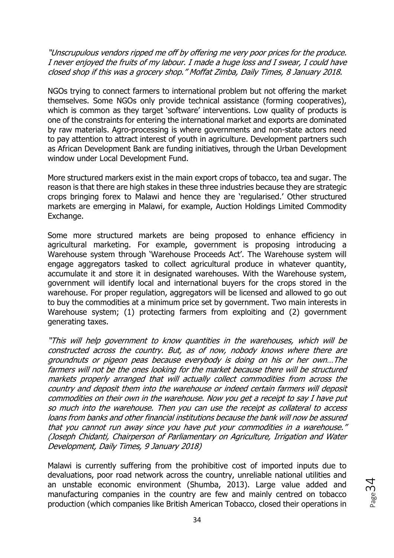"Unscrupulous vendors ripped me off by offering me very poor prices for the produce. I never enjoyed the fruits of my labour. I made a huge loss and I swear, I could have closed shop if this was a grocery shop." Moffat Zimba, Daily Times, 8 January 2018.

NGOs trying to connect farmers to international problem but not offering the market themselves. Some NGOs only provide technical assistance (forming cooperatives), which is common as they target 'software' interventions. Low quality of products is one of the constraints for entering the international market and exports are dominated by raw materials. Agro-processing is where governments and non-state actors need to pay attention to attract interest of youth in agriculture. Development partners such as African Development Bank are funding initiatives, through the Urban Development window under Local Development Fund.

More structured markers exist in the main export crops of tobacco, tea and sugar. The reason is that there are high stakes in these three industries because they are strategic crops bringing forex to Malawi and hence they are 'regularised.' Other structured markets are emerging in Malawi, for example, Auction Holdings Limited Commodity Exchange.

Some more structured markets are being proposed to enhance efficiency in agricultural marketing. For example, government is proposing introducing a Warehouse system through 'Warehouse Proceeds Act'. The Warehouse system will engage aggregators tasked to collect agricultural produce in whatever quantity, accumulate it and store it in designated warehouses. With the Warehouse system, government will identify local and international buyers for the crops stored in the warehouse. For proper regulation, aggregators will be licensed and allowed to go out to buy the commodities at a minimum price set by government. Two main interests in Warehouse system; (1) protecting farmers from exploiting and (2) government generating taxes.

"This will help government to know quantities in the warehouses, which will be constructed across the country. But, as of now, nobody knows where there are groundnuts or pigeon peas because everybody is doing on his or her own…The farmers will not be the ones looking for the market because there will be structured markets properly arranged that will actually collect commodities from across the country and deposit them into the warehouse or indeed certain farmers will deposit commodities on their own in the warehouse. Now you get a receipt to say I have put so much into the warehouse. Then you can use the receipt as collateral to access loans from banks and other financial institutions because the bank will now be assured that you cannot run away since you have put your commodities in a warehouse." (Joseph Chidanti, Chairperson of Parliamentary on Agriculture, Irrigation and Water Development, Daily Times, 9 January 2018)

Malawi is currently suffering from the prohibitive cost of imported inputs due to devaluations, poor road network across the country, unreliable national utilities and an unstable economic environment (Shumba, 2013). Large value added and manufacturing companies in the country are few and mainly centred on tobacco production (which companies like British American Tobacco, closed their operations in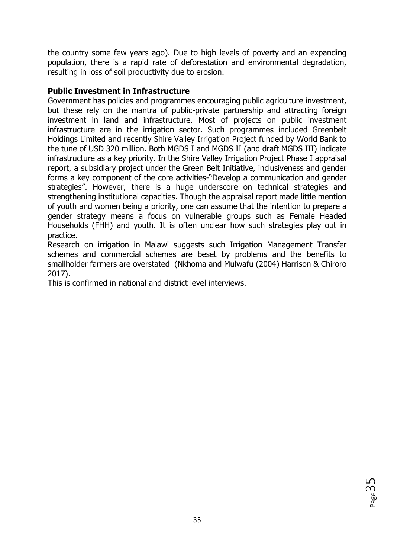the country some few years ago). Due to high levels of poverty and an expanding population, there is a rapid rate of deforestation and environmental degradation, resulting in loss of soil productivity due to erosion.

#### **Public Investment in Infrastructure**

Government has policies and programmes encouraging public agriculture investment, but these rely on the mantra of public-private partnership and attracting foreign investment in land and infrastructure. Most of projects on public investment infrastructure are in the irrigation sector. Such programmes included Greenbelt Holdings Limited and recently Shire Valley Irrigation Project funded by World Bank to the tune of USD 320 million. Both MGDS I and MGDS II (and draft MGDS III) indicate infrastructure as a key priority. In the Shire Valley Irrigation Project Phase I appraisal report, a subsidiary project under the Green Belt Initiative, inclusiveness and gender forms a key component of the core activities-"Develop a communication and gender strategies". However, there is a huge underscore on technical strategies and strengthening institutional capacities. Though the appraisal report made little mention of youth and women being a priority, one can assume that the intention to prepare a gender strategy means a focus on vulnerable groups such as Female Headed Households (FHH) and youth. It is often unclear how such strategies play out in practice.

Research on irrigation in Malawi suggests such Irrigation Management Transfer schemes and commercial schemes are beset by problems and the benefits to smallholder farmers are overstated (Nkhoma and Mulwafu (2004) Harrison & Chiroro 2017).

This is confirmed in national and district level interviews.

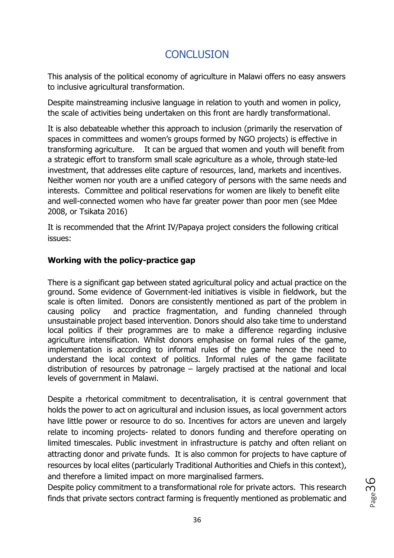# **CONCLUSION**

This analysis of the political economy of agriculture in Malawi offers no easy answers to inclusive agricultural transformation.

Despite mainstreaming inclusive language in relation to youth and women in policy, the scale of activities being undertaken on this front are hardly transformational.

It is also debateable whether this approach to inclusion (primarily the reservation of spaces in committees and women's groups formed by NGO projects) is effective in transforming agriculture. It can be argued that women and youth will benefit from a strategic effort to transform small scale agriculture as a whole, through state-led investment, that addresses elite capture of resources, land, markets and incentives. Neither women nor youth are a unified category of persons with the same needs and interests. Committee and political reservations for women are likely to benefit elite and well-connected women who have far greater power than poor men (see Mdee 2008, or Tsikata 2016)

It is recommended that the Afrint IV/Papaya project considers the following critical issues:

### **Working with the policy-practice gap**

There is a significant gap between stated agricultural policy and actual practice on the ground. Some evidence of Government-led initiatives is visible in fieldwork, but the scale is often limited. Donors are consistently mentioned as part of the problem in causing policy and practice fragmentation, and funding channeled through unsustainable project based intervention. Donors should also take time to understand local politics if their programmes are to make a difference regarding inclusive agriculture intensification. Whilst donors emphasise on formal rules of the game, implementation is according to informal rules of the game hence the need to understand the local context of politics. Informal rules of the game facilitate distribution of resources by patronage – largely practised at the national and local levels of government in Malawi.

Despite a rhetorical commitment to decentralisation, it is central government that holds the power to act on agricultural and inclusion issues, as local government actors have little power or resource to do so. Incentives for actors are uneven and largely relate to incoming projects- related to donors funding and therefore operating on limited timescales. Public investment in infrastructure is patchy and often reliant on attracting donor and private funds. It is also common for projects to have capture of resources by local elites (particularly Traditional Authorities and Chiefs in this context), and therefore a limited impact on more marginalised farmers.

Despite policy commitment to a transformational role for private actors. This research finds that private sectors contract farming is frequently mentioned as problematic and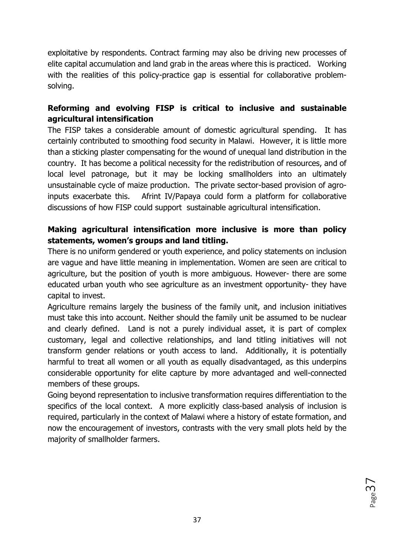exploitative by respondents. Contract farming may also be driving new processes of elite capital accumulation and land grab in the areas where this is practiced. Working with the realities of this policy-practice gap is essential for collaborative problemsolving.

### **Reforming and evolving FISP is critical to inclusive and sustainable agricultural intensification**

The FISP takes a considerable amount of domestic agricultural spending. It has certainly contributed to smoothing food security in Malawi. However, it is little more than a sticking plaster compensating for the wound of unequal land distribution in the country. It has become a political necessity for the redistribution of resources, and of local level patronage, but it may be locking smallholders into an ultimately unsustainable cycle of maize production. The private sector-based provision of agroinputs exacerbate this. Afrint IV/Papaya could form a platform for collaborative discussions of how FISP could support sustainable agricultural intensification.

### **Making agricultural intensification more inclusive is more than policy statements, women's groups and land titling.**

There is no uniform gendered or youth experience, and policy statements on inclusion are vague and have little meaning in implementation. Women are seen are critical to agriculture, but the position of youth is more ambiguous. However- there are some educated urban youth who see agriculture as an investment opportunity- they have capital to invest.

Agriculture remains largely the business of the family unit, and inclusion initiatives must take this into account. Neither should the family unit be assumed to be nuclear and clearly defined. Land is not a purely individual asset, it is part of complex customary, legal and collective relationships, and land titling initiatives will not transform gender relations or youth access to land. Additionally, it is potentially harmful to treat all women or all youth as equally disadvantaged, as this underpins considerable opportunity for elite capture by more advantaged and well-connected members of these groups.

Going beyond representation to inclusive transformation requires differentiation to the specifics of the local context. A more explicitly class-based analysis of inclusion is required, particularly in the context of Malawi where a history of estate formation, and now the encouragement of investors, contrasts with the very small plots held by the majority of smallholder farmers.

Page37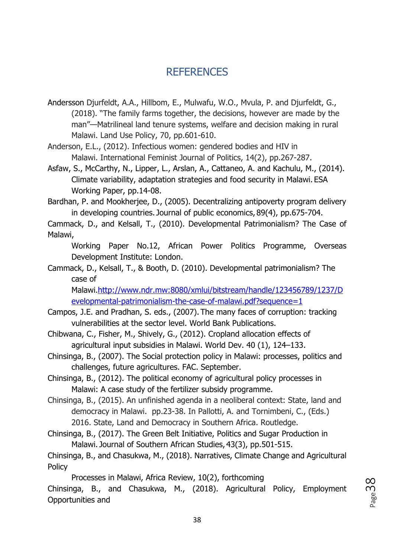## REFERENCES

Andersson Djurfeldt, A.A., Hillbom, E., Mulwafu, W.O., Mvula, P. and Djurfeldt, G., (2018). "The family farms together, the decisions, however are made by the man"—Matrilineal land tenure systems, welfare and decision making in rural Malawi. Land Use Policy, 70, pp.601-610.

Anderson, E.L., (2012). Infectious women: gendered bodies and HIV in Malawi. International Feminist Journal of Politics, 14(2), pp.267-287.

Asfaw, S., McCarthy, N., Lipper, L., Arslan, A., Cattaneo, A. and Kachulu, M., (2014). Climate variability, adaptation strategies and food security in Malawi. ESA Working Paper, pp.14-08.

Bardhan, P. and Mookherjee, D., (2005). Decentralizing antipoverty program delivery in developing countries. Journal of public economics, 89(4), pp.675-704.

Cammack, D., and Kelsall, T., (2010). Developmental Patrimonialism? The Case of Malawi,

Working Paper No.12, African Power Politics Programme, Overseas Development Institute: London.

Cammack, D., Kelsall, T., & Booth, D. (2010). Developmental patrimonialism? The case of

Malawi.http://www.ndr.mw:8080/xmlui/bitstream/handle/123456789/1237/D evelopmental-patrimonialism-the-case-of-malawi.pdf?sequence=1

- Campos, J.E. and Pradhan, S. eds., (2007). The many faces of corruption: tracking vulnerabilities at the sector level. World Bank Publications.
- Chibwana, C., Fisher, M., Shively, G., (2012). Cropland allocation effects of agricultural input subsidies in Malawi. World Dev. 40 (1), 124–133.
- Chinsinga, B., (2007). The Social protection policy in Malawi: processes, politics and challenges, future agricultures. FAC. September.

Chinsinga, B., (2012). The political economy of agricultural policy processes in Malawi: A case study of the fertilizer subsidy programme.

- Chinsinga, B., (2015). An unfinished agenda in a neoliberal context: State, land and democracy in Malawi. pp.23-38. In Pallotti, A. and Tornimbeni, C., (Eds.) 2016. State, Land and Democracy in Southern Africa. Routledge.
- Chinsinga, B., (2017). The Green Belt Initiative, Politics and Sugar Production in Malawi. Journal of Southern African Studies, 43(3), pp.501-515.

Chinsinga, B., and Chasukwa, M., (2018). Narratives, Climate Change and Agricultural **Policy** 

Processes in Malawi, Africa Review, 10(2), forthcoming Chinsinga, B., and Chasukwa, M., (2018). Agricultural Policy, Employment Opportunities and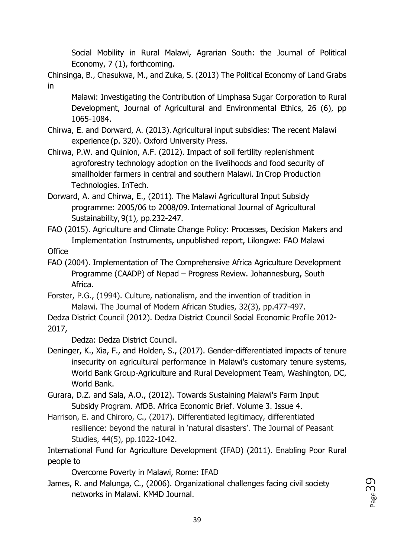Social Mobility in Rural Malawi, Agrarian South: the Journal of Political Economy, 7 (1), forthcoming.

Chinsinga, B., Chasukwa, M., and Zuka, S. (2013) The Political Economy of Land Grabs in

Malawi: Investigating the Contribution of Limphasa Sugar Corporation to Rural Development, Journal of Agricultural and Environmental Ethics, 26 (6), pp 1065-1084.

- Chirwa, E. and Dorward, A. (2013). Agricultural input subsidies: The recent Malawi experience (p. 320). Oxford University Press.
- Chirwa, P.W. and Quinion, A.F. (2012). Impact of soil fertility replenishment agroforestry technology adoption on the livelihoods and food security of smallholder farmers in central and southern Malawi. In Crop Production Technologies. InTech.
- Dorward, A. and Chirwa, E., (2011). The Malawi Agricultural Input Subsidy programme: 2005/06 to 2008/09. International Journal of Agricultural Sustainability, 9(1), pp.232-247.
- FAO (2015). Agriculture and Climate Change Policy: Processes, Decision Makers and Implementation Instruments, unpublished report, Lilongwe: FAO Malawi **Office**
- FAO (2004). Implementation of The Comprehensive Africa Agriculture Development Programme (CAADP) of Nepad – Progress Review. Johannesburg, South Africa.
- Forster, P.G., (1994). Culture, nationalism, and the invention of tradition in Malawi. The Journal of Modern African Studies, 32(3), pp.477-497.
- Dedza District Council (2012). Dedza District Council Social Economic Profile 2012- 2017,

Dedza: Dedza District Council.

Deninger, K., Xia, F., and Holden, S., (2017). Gender-differentiated impacts of tenure insecurity on agricultural performance in Malawi's customary tenure systems, World Bank Group-Agriculture and Rural Development Team, Washington, DC, World Bank.

Gurara, D.Z. and Sala, A.O., (2012). Towards Sustaining Malawi's Farm Input Subsidy Program. AfDB. Africa Economic Brief. Volume 3. Issue 4.

Harrison, E. and Chiroro, C., (2017). Differentiated legitimacy, differentiated resilience: beyond the natural in 'natural disasters'. The Journal of Peasant Studies, 44(5), pp.1022-1042.

International Fund for Agriculture Development (IFAD) (2011). Enabling Poor Rural people to

Overcome Poverty in Malawi, Rome: IFAD

James, R. and Malunga, C., (2006). Organizational challenges facing civil society networks in Malawi. KM4D Journal.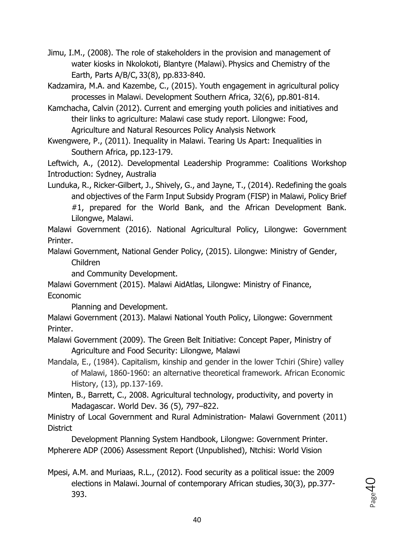Jimu, I.M., (2008). The role of stakeholders in the provision and management of water kiosks in Nkolokoti, Blantyre (Malawi). Physics and Chemistry of the Earth, Parts A/B/C, 33(8), pp.833-840.

Kadzamira, M.A. and Kazembe, C., (2015). Youth engagement in agricultural policy processes in Malawi. Development Southern Africa, 32(6), pp.801-814.

Kamchacha, Calvin (2012). Current and emerging youth policies and initiatives and their links to agriculture: Malawi case study report. Lilongwe: Food, Agriculture and Natural Resources Policy Analysis Network

Kwengwere, P., (2011). Inequality in Malawi. Tearing Us Apart: Inequalities in Southern Africa, pp.123-179.

Leftwich, A., (2012). Developmental Leadership Programme: Coalitions Workshop Introduction: Sydney, Australia

Lunduka, R., Ricker-Gilbert, J., Shively, G., and Jayne, T., (2014). Redefining the goals and objectives of the Farm Input Subsidy Program (FISP) in Malawi, Policy Brief #1, prepared for the World Bank, and the African Development Bank. Lilongwe, Malawi.

Malawi Government (2016). National Agricultural Policy, Lilongwe: Government Printer.

Malawi Government, National Gender Policy, (2015). Lilongwe: Ministry of Gender, Children

and Community Development.

Malawi Government (2015). Malawi AidAtlas, Lilongwe: Ministry of Finance,

Economic

Planning and Development.

Malawi Government (2013). Malawi National Youth Policy, Lilongwe: Government Printer.

Malawi Government (2009). The Green Belt Initiative: Concept Paper, Ministry of Agriculture and Food Security: Lilongwe, Malawi

Mandala, E., (1984). Capitalism, kinship and gender in the lower Tchiri (Shire) valley of Malawi, 1860-1960: an alternative theoretical framework. African Economic History, (13), pp.137-169.

Minten, B., Barrett, C., 2008. Agricultural technology, productivity, and poverty in Madagascar. World Dev. 36 (5), 797–822.

Ministry of Local Government and Rural Administration- Malawi Government (2011) **District** 

Development Planning System Handbook, Lilongwe: Government Printer. Mpherere ADP (2006) Assessment Report (Unpublished), Ntchisi: World Vision

Mpesi, A.M. and Muriaas, R.L., (2012). Food security as a political issue: the 2009 elections in Malawi. Journal of contemporary African studies, 30(3), pp.377- 393.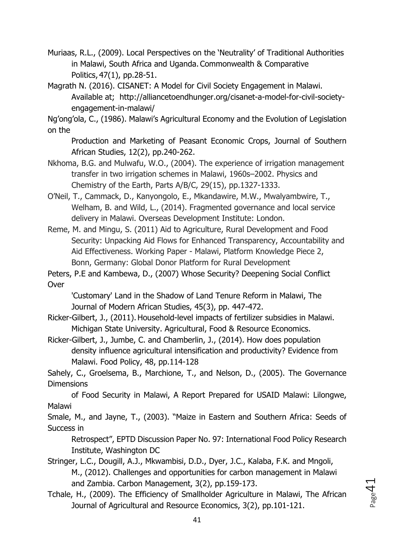Muriaas, R.L., (2009). Local Perspectives on the 'Neutrality' of Traditional Authorities in Malawi, South Africa and Uganda. Commonwealth & Comparative Politics, 47(1), pp.28-51.

Magrath N. (2016). CISANET: A Model for Civil Society Engagement in Malawi. Available at; http://alliancetoendhunger.org/cisanet-a-model-for-civil-societyengagement-in-malawi/

Ng'ong'ola, C., (1986). Malawi's Agricultural Economy and the Evolution of Legislation on the

Production and Marketing of Peasant Economic Crops, Journal of Southern African Studies, 12(2), pp.240-262.

- Nkhoma, B.G. and Mulwafu, W.O., (2004). The experience of irrigation management transfer in two irrigation schemes in Malawi, 1960s–2002. Physics and Chemistry of the Earth, Parts A/B/C, 29(15), pp.1327-1333.
- O'Neil, T., Cammack, D., Kanyongolo, E., Mkandawire, M.W., Mwalyambwire, T., Welham, B. and Wild, L., (2014). Fragmented governance and local service delivery in Malawi. Overseas Development Institute: London.
- Reme, M. and Mingu, S. (2011) Aid to Agriculture, Rural Development and Food Security: Unpacking Aid Flows for Enhanced Transparency, Accountability and Aid Effectiveness. Working Paper - Malawi, Platform Knowledge Piece 2, Bonn, Germany: Global Donor Platform for Rural Development
- Peters, P.E and Kambewa, D., (2007) Whose Security? Deepening Social Conflict Over

'Customary' Land in the Shadow of Land Tenure Reform in Malawi, The Journal of Modern African Studies, 45(3), pp. 447-472.

Ricker-Gilbert, J., (2011). Household-level impacts of fertilizer subsidies in Malawi. Michigan State University. Agricultural, Food & Resource Economics.

Ricker-Gilbert, J., Jumbe, C. and Chamberlin, J., (2014). How does population density influence agricultural intensification and productivity? Evidence from Malawi. Food Policy, 48, pp.114-128

Sahely, C., Groelsema, B., Marchione, T., and Nelson, D., (2005). The Governance **Dimensions** 

of Food Security in Malawi, A Report Prepared for USAID Malawi: Lilongwe, Malawi

Smale, M., and Jayne, T., (2003). "Maize in Eastern and Southern Africa: Seeds of Success in

Retrospect", EPTD Discussion Paper No. 97: International Food Policy Research Institute, Washington DC

- Stringer, L.C., Dougill, A.J., Mkwambisi, D.D., Dyer, J.C., Kalaba, F.K. and Mngoli, M., (2012). Challenges and opportunities for carbon management in Malawi and Zambia. Carbon Management, 3(2), pp.159-173.
- Tchale, H., (2009). The Efficiency of Smallholder Agriculture in Malawi, The African Journal of Agricultural and Resource Economics, 3(2), pp.101-121.